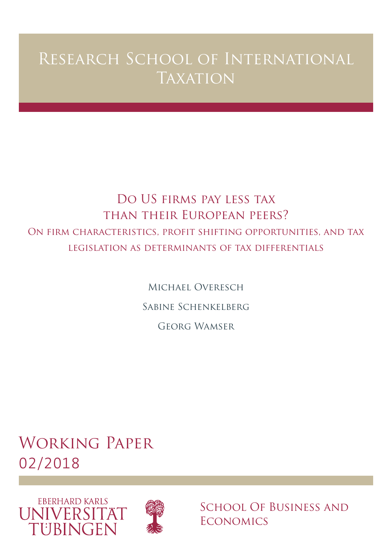# Research School of International **TAXATION**

## Do US firms pay less tax than their European peers? On firm characteristics, profit shifting opportunities, and tax legislation as determinants of tax differentials

Michael Overesch Sabine Schenkelberg Georg Wamser

Working Paper 02/2018





School Of Business and **ECONOMICS**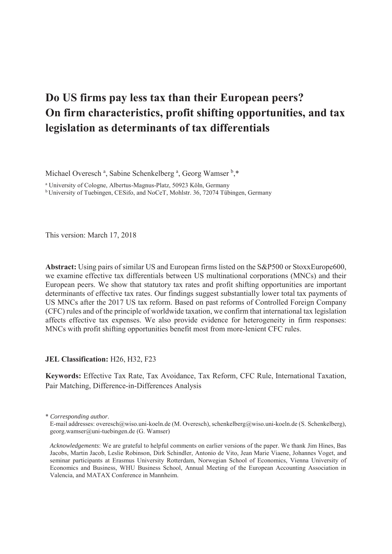## **Do US firms pay less tax than their European peers? On firm characteristics, profit shifting opportunities, and tax legislation as determinants of tax differentials**

Michael Overesch<sup>a</sup>, Sabine Schenkelberg<sup>a</sup>, Georg Wamser<sup>b</sup>,\*

a University of Cologne, Albertus-Magnus-Platz, 50923 Köln, Germany

b University of Tuebingen, CESifo, and NoCeT, Mohlstr. 36, 72074 Tübingen, Germany

This version: March 17, 2018

**Abstract:** Using pairs of similar US and European firms listed on the S&P500 or StoxxEurope600, we examine effective tax differentials between US multinational corporations (MNCs) and their European peers. We show that statutory tax rates and profit shifting opportunities are important determinants of effective tax rates. Our findings suggest substantially lower total tax payments of US MNCs after the 2017 US tax reform. Based on past reforms of Controlled Foreign Company (CFC) rules and of the principle of worldwide taxation, we confirm that international tax legislation affects effective tax expenses. We also provide evidence for heterogeneity in firm responses: MNCs with profit shifting opportunities benefit most from more-lenient CFC rules.

**JEL Classification:** H26, H32, F23

**Keywords:** Effective Tax Rate, Tax Avoidance, Tax Reform, CFC Rule, International Taxation, Pair Matching, Difference-in-Differences Analysis

<sup>\*</sup> *Corresponding author*.

E-mail addresses: overesch@wiso.uni-koeln.de (M. Overesch), schenkelberg@wiso.uni-koeln.de (S. Schenkelberg), georg.wamser@uni-tuebingen.de (G. Wamser)

*Acknowledgements*: We are grateful to helpful comments on earlier versions of the paper. We thank Jim Hines, Bas Jacobs, Martin Jacob, Leslie Robinson, Dirk Schindler, Antonio de Vito, Jean Marie Viaene, Johannes Voget, and seminar participants at Erasmus University Rotterdam, Norwegian School of Economics, Vienna University of Economics and Business, WHU Business School, Annual Meeting of the European Accounting Association in Valencia, and MATAX Conference in Mannheim.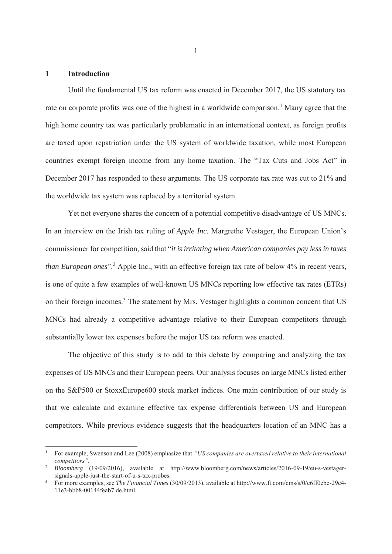## **1 Introduction**

-

Until the fundamental US tax reform was enacted in December 2017, the US statutory tax rate on corporate profits was one of the highest in a worldwide comparison.<sup>1</sup> Many agree that the high home country tax was particularly problematic in an international context, as foreign profits are taxed upon repatriation under the US system of worldwide taxation, while most European countries exempt foreign income from any home taxation. The "Tax Cuts and Jobs Act" in December 2017 has responded to these arguments. The US corporate tax rate was cut to 21% and the worldwide tax system was replaced by a territorial system.

Yet not everyone shares the concern of a potential competitive disadvantage of US MNCs. In an interview on the Irish tax ruling of *Apple Inc.* Margrethe Vestager, the European Union's commissioner for competition, said that "*it is irritating when American companies pay less in taxes*  than European ones".<sup>2</sup> Apple Inc., with an effective foreign tax rate of below 4% in recent years, is one of quite a few examples of well-known US MNCs reporting low effective tax rates (ETRs) on their foreign incomes.<sup>3</sup> The statement by Mrs. Vestager highlights a common concern that US MNCs had already a competitive advantage relative to their European competitors through substantially lower tax expenses before the major US tax reform was enacted.

The objective of this study is to add to this debate by comparing and analyzing the tax expenses of US MNCs and their European peers. Our analysis focuses on large MNCs listed either on the S&P500 or StoxxEurope600 stock market indices. One main contribution of our study is that we calculate and examine effective tax expense differentials between US and European competitors. While previous evidence suggests that the headquarters location of an MNC has a

1

<sup>1</sup> For example, Swenson and Lee (2008) emphasize that *"US companies are overtaxed relative to their international competitors".*

<sup>2</sup> *Bloomberg* (19/09/2016), available at http://www.bloomberg.com/news/articles/2016-09-19/eu-s-vestagersignals-apple-just-the-start-of-u-s-tax-probes. 3

For more examples, see *The Financial Times* (30/09/2013), available at http://www.ft.com/cms/s/0/c6ff0ebc-29c4- 11e3-bbb8-00144feab7 de.html.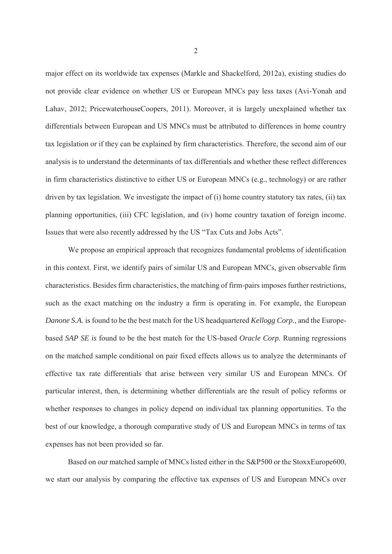major effect on its worldwide tax expenses (Markle and Shackelford, 2012a), existing studies do not provide clear evidence on whether US or European MNCs pay less taxes (Avi-Yonah and Lahav, 2012; PricewaterhouseCoopers, 2011). Moreover, it is largely unexplained whether tax differentials between European and US MNCs must be attributed to differences in home country tax legislation or if they can be explained by firm characteristics. Therefore, the second aim of our analysis is to understand the determinants of tax differentials and whether these reflect differences in firm characteristics distinctive to either US or European MNCs (e.g., technology) or are rather driven by tax legislation. We investigate the impact of (i) home country statutory tax rates, (ii) tax planning opportunities, (iii) CFC legislation, and (iv) home country taxation of foreign income. Issues that were also recently addressed by the US "Tax Cuts and Jobs Acts".

We propose an empirical approach that recognizes fundamental problems of identification in this context. First, we identify pairs of similar US and European MNCs, given observable firm characteristics. Besides firm characteristics, the matching of firm-pairs imposes further restrictions, such as the exact matching on the industry a firm is operating in. For example, the European *Danone S.A.* is found to be the best match for the US headquartered *Kellogg Corp.*, and the Europebased *SAP SE is* found to be the best match for the US-based *Oracle Corp.* Running regressions on the matched sample conditional on pair fixed effects allows us to analyze the determinants of effective tax rate differentials that arise between very similar US and European MNCs. Of particular interest, then, is determining whether differentials are the result of policy reforms or whether responses to changes in policy depend on individual tax planning opportunities. To the best of our knowledge, a thorough comparative study of US and European MNCs in terms of tax expenses has not been provided so far.

Based on our matched sample of MNCs listed either in the S&P500 or the StoxxEurope600, we start our analysis by comparing the effective tax expenses of US and European MNCs over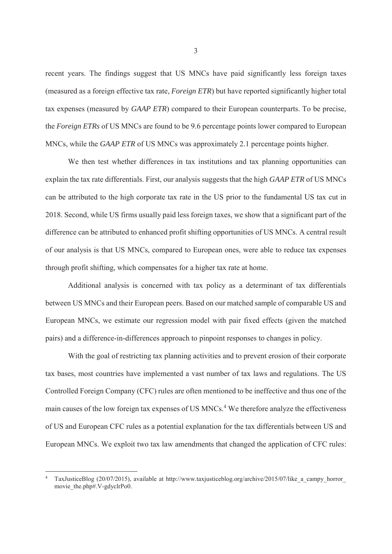recent years. The findings suggest that US MNCs have paid significantly less foreign taxes (measured as a foreign effective tax rate, *Foreign ETR*) but have reported significantly higher total tax expenses (measured by *GAAP ETR*) compared to their European counterparts. To be precise, the *Foreign ETRs* of US MNCs are found to be 9.6 percentage points lower compared to European MNCs, while the *GAAP ETR* of US MNCs was approximately 2.1 percentage points higher.

We then test whether differences in tax institutions and tax planning opportunities can explain the tax rate differentials. First, our analysis suggests that the high *GAAP ETR* of US MNCs can be attributed to the high corporate tax rate in the US prior to the fundamental US tax cut in 2018. Second, while US firms usually paid less foreign taxes, we show that a significant part of the difference can be attributed to enhanced profit shifting opportunities of US MNCs. A central result of our analysis is that US MNCs, compared to European ones, were able to reduce tax expenses through profit shifting, which compensates for a higher tax rate at home.

Additional analysis is concerned with tax policy as a determinant of tax differentials between US MNCs and their European peers. Based on our matched sample of comparable US and European MNCs, we estimate our regression model with pair fixed effects (given the matched pairs) and a difference-in-differences approach to pinpoint responses to changes in policy.

With the goal of restricting tax planning activities and to prevent erosion of their corporate tax bases, most countries have implemented a vast number of tax laws and regulations. The US Controlled Foreign Company (CFC) rules are often mentioned to be ineffective and thus one of the main causes of the low foreign tax expenses of US MNCs.<sup>4</sup> We therefore analyze the effectiveness of US and European CFC rules as a potential explanation for the tax differentials between US and European MNCs. We exploit two tax law amendments that changed the application of CFC rules:

-

3

<sup>4</sup> TaxJusticeBlog (20/07/2015), available at http://www.taxjusticeblog.org/archive/2015/07/like\_a\_campy\_horror\_ movie\_the.php#.V-gdyclrPo0.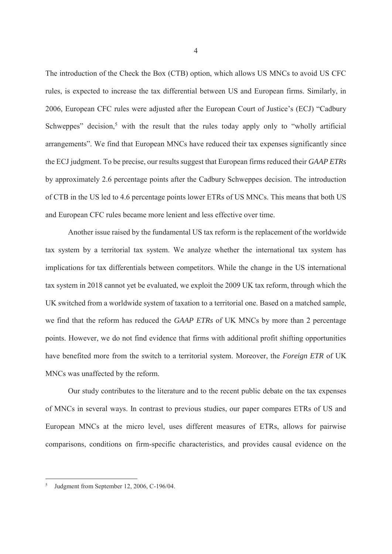The introduction of the Check the Box (CTB) option, which allows US MNCs to avoid US CFC rules, is expected to increase the tax differential between US and European firms. Similarly, in 2006, European CFC rules were adjusted after the European Court of Justice's (ECJ) "Cadbury Schweppes" decision,<sup>5</sup> with the result that the rules today apply only to "wholly artificial arrangements". We find that European MNCs have reduced their tax expenses significantly since the ECJ judgment. To be precise, our results suggest that European firms reduced their *GAAP ETRs* by approximately 2.6 percentage points after the Cadbury Schweppes decision. The introduction of CTB in the US led to 4.6 percentage points lower ETRs of US MNCs. This means that both US and European CFC rules became more lenient and less effective over time.

Another issue raised by the fundamental US tax reform is the replacement of the worldwide tax system by a territorial tax system. We analyze whether the international tax system has implications for tax differentials between competitors. While the change in the US international tax system in 2018 cannot yet be evaluated, we exploit the 2009 UK tax reform, through which the UK switched from a worldwide system of taxation to a territorial one. Based on a matched sample, we find that the reform has reduced the *GAAP ETRs* of UK MNCs by more than 2 percentage points. However, we do not find evidence that firms with additional profit shifting opportunities have benefited more from the switch to a territorial system. Moreover, the *Foreign ETR* of UK MNCs was unaffected by the reform.

Our study contributes to the literature and to the recent public debate on the tax expenses of MNCs in several ways. In contrast to previous studies, our paper compares ETRs of US and European MNCs at the micro level, uses different measures of ETRs, allows for pairwise comparisons, conditions on firm-specific characteristics, and provides causal evidence on the

<sup>5</sup> Judgment from September 12, 2006, C-196/04.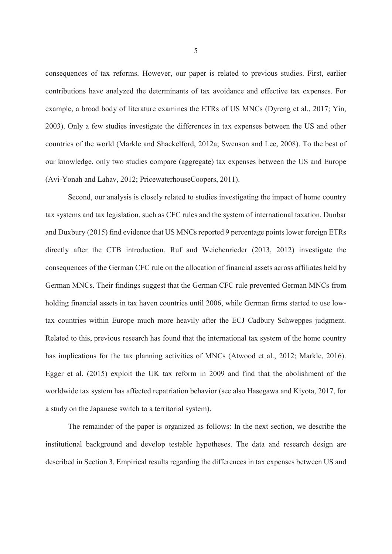consequences of tax reforms. However, our paper is related to previous studies. First, earlier contributions have analyzed the determinants of tax avoidance and effective tax expenses. For example, a broad body of literature examines the ETRs of US MNCs (Dyreng et al., 2017; Yin, 2003). Only a few studies investigate the differences in tax expenses between the US and other countries of the world (Markle and Shackelford, 2012a; Swenson and Lee, 2008). To the best of our knowledge, only two studies compare (aggregate) tax expenses between the US and Europe (Avi-Yonah and Lahav, 2012; PricewaterhouseCoopers, 2011).

Second, our analysis is closely related to studies investigating the impact of home country tax systems and tax legislation, such as CFC rules and the system of international taxation. Dunbar and Duxbury (2015) find evidence that US MNCs reported 9 percentage points lower foreign ETRs directly after the CTB introduction. Ruf and Weichenrieder (2013, 2012) investigate the consequences of the German CFC rule on the allocation of financial assets across affiliates held by German MNCs. Their findings suggest that the German CFC rule prevented German MNCs from holding financial assets in tax haven countries until 2006, while German firms started to use lowtax countries within Europe much more heavily after the ECJ Cadbury Schweppes judgment. Related to this, previous research has found that the international tax system of the home country has implications for the tax planning activities of MNCs (Atwood et al., 2012; Markle, 2016). Egger et al. (2015) exploit the UK tax reform in 2009 and find that the abolishment of the worldwide tax system has affected repatriation behavior (see also Hasegawa and Kiyota, 2017, for a study on the Japanese switch to a territorial system).

The remainder of the paper is organized as follows: In the next section, we describe the institutional background and develop testable hypotheses. The data and research design are described in Section 3. Empirical results regarding the differences in tax expenses between US and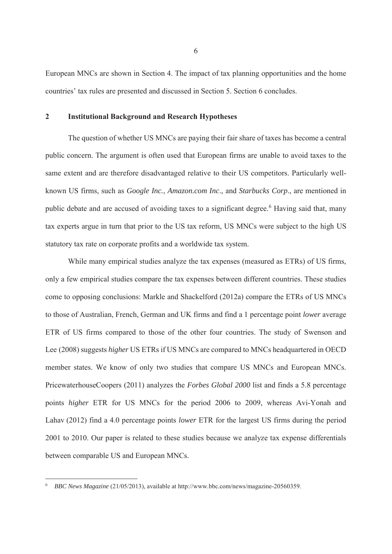European MNCs are shown in Section 4. The impact of tax planning opportunities and the home countries' tax rules are presented and discussed in Section 5. Section 6 concludes.

## **2 Institutional Background and Research Hypotheses**

The question of whether US MNCs are paying their fair share of taxes has become a central public concern. The argument is often used that European firms are unable to avoid taxes to the same extent and are therefore disadvantaged relative to their US competitors. Particularly wellknown US firms, such as *Google Inc.*, *Amazon.com Inc*., and *Starbucks Corp*., are mentioned in public debate and are accused of avoiding taxes to a significant degree.<sup>6</sup> Having said that, many tax experts argue in turn that prior to the US tax reform, US MNCs were subject to the high US statutory tax rate on corporate profits and a worldwide tax system.

While many empirical studies analyze the tax expenses (measured as ETRs) of US firms, only a few empirical studies compare the tax expenses between different countries. These studies come to opposing conclusions: Markle and Shackelford (2012a) compare the ETRs of US MNCs to those of Australian, French, German and UK firms and find a 1 percentage point *lower* average ETR of US firms compared to those of the other four countries. The study of Swenson and Lee (2008) suggests *higher* US ETRs if US MNCs are compared to MNCs headquartered in OECD member states. We know of only two studies that compare US MNCs and European MNCs. PricewaterhouseCoopers (2011) analyzes the *Forbes Global 2000* list and finds a 5.8 percentage points *higher* ETR for US MNCs for the period 2006 to 2009, whereas Avi-Yonah and Lahav (2012) find a 4.0 percentage points *lower* ETR for the largest US firms during the period 2001 to 2010. Our paper is related to these studies because we analyze tax expense differentials between comparable US and European MNCs.

<sup>6</sup> *BBC News Magazine* (21/05/2013), available at http://www.bbc.com/news/magazine-20560359.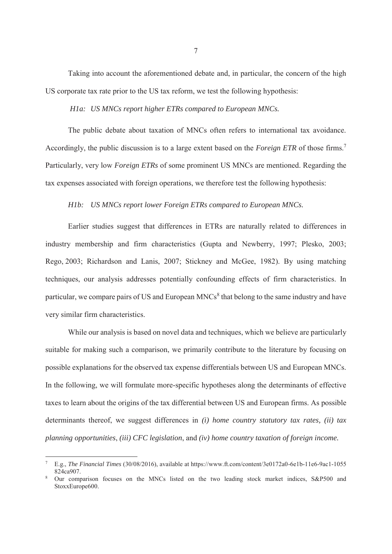Taking into account the aforementioned debate and, in particular, the concern of the high US corporate tax rate prior to the US tax reform, we test the following hypothesis:

 *H1a: US MNCs report higher ETRs compared to European MNCs.* 

The public debate about taxation of MNCs often refers to international tax avoidance. Accordingly, the public discussion is to a large extent based on the *Foreign ETR* of those firms.7 Particularly, very low *Foreign ETRs* of some prominent US MNCs are mentioned. Regarding the tax expenses associated with foreign operations, we therefore test the following hypothesis:

### *H1b: US MNCs report lower Foreign ETRs compared to European MNCs.*

Earlier studies suggest that differences in ETRs are naturally related to differences in industry membership and firm characteristics (Gupta and Newberry, 1997; Plesko, 2003; Rego, 2003; Richardson and Lanis, 2007; Stickney and McGee, 1982). By using matching techniques, our analysis addresses potentially confounding effects of firm characteristics. In particular, we compare pairs of US and European MNCs<sup>8</sup> that belong to the same industry and have very similar firm characteristics.

While our analysis is based on novel data and techniques, which we believe are particularly suitable for making such a comparison, we primarily contribute to the literature by focusing on possible explanations for the observed tax expense differentials between US and European MNCs. In the following, we will formulate more-specific hypotheses along the determinants of effective taxes to learn about the origins of the tax differential between US and European firms. As possible determinants thereof, we suggest differences in *(i) home country statutory tax rates, (ii) tax planning opportunities*, *(iii) CFC legislation*, and *(iv) home country taxation of foreign income.* 

<sup>7</sup> E.g., *The Financial Times* (30/08/2016), available at https://www.ft.com/content/3e0172a0-6e1b-11e6-9ac1-1055 824ca907. 8 Our comparison focuses on the MNCs listed on the two leading stock market indices, S&P500 and

StoxxEurope600.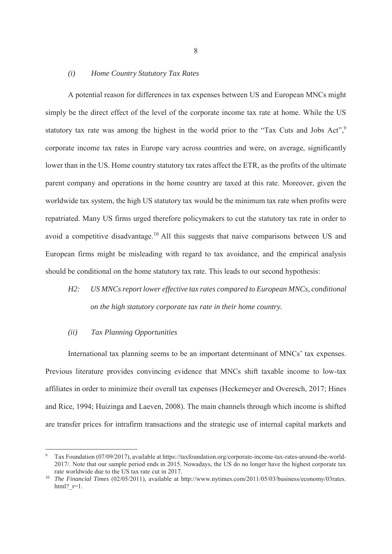#### *(i) Home Country Statutory Tax Rates*

A potential reason for differences in tax expenses between US and European MNCs might simply be the direct effect of the level of the corporate income tax rate at home. While the US statutory tax rate was among the highest in the world prior to the "Tax Cuts and Jobs Act",<sup>9</sup> corporate income tax rates in Europe vary across countries and were, on average, significantly lower than in the US. Home country statutory tax rates affect the ETR, as the profits of the ultimate parent company and operations in the home country are taxed at this rate. Moreover, given the worldwide tax system, the high US statutory tax would be the minimum tax rate when profits were repatriated. Many US firms urged therefore policymakers to cut the statutory tax rate in order to avoid a competitive disadvantage.<sup>10</sup> All this suggests that naive comparisons between US and European firms might be misleading with regard to tax avoidance, and the empirical analysis should be conditional on the home statutory tax rate. This leads to our second hypothesis:

*H2: US MNCs report lower effective tax rates compared to European MNCs, conditional on the high statutory corporate tax rate in their home country.* 

#### *(ii) Tax Planning Opportunities*

-

International tax planning seems to be an important determinant of MNCs' tax expenses. Previous literature provides convincing evidence that MNCs shift taxable income to low-tax affiliates in order to minimize their overall tax expenses (Heckemeyer and Overesch, 2017; Hines and Rice, 1994; Huizinga and Laeven, 2008). The main channels through which income is shifted are transfer prices for intrafirm transactions and the strategic use of internal capital markets and

<sup>9</sup> Tax Foundation (07/09/2017), available at https://taxfoundation.org/corporate-income-tax-rates-around-the-world-2017/. Note that our sample period ends in 2015. Nowadays, the US do no longer have the highest corporate tax rate worldwide due to the US tax rate cut in 2017.

<sup>&</sup>lt;sup>10</sup> *The Financial Times* (02/05/2011), available at http://www.nytimes.com/2011/05/03/business/economy/03rates. html? $r=1$ .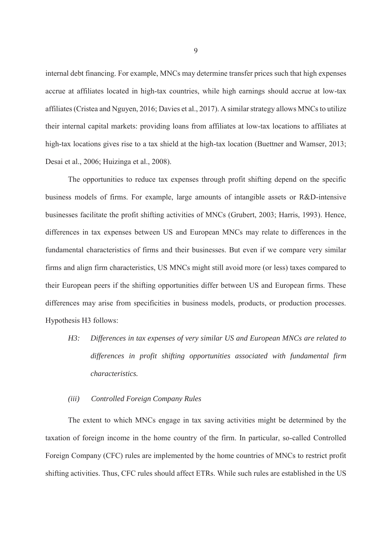internal debt financing. For example, MNCs may determine transfer prices such that high expenses accrue at affiliates located in high-tax countries, while high earnings should accrue at low-tax affiliates (Cristea and Nguyen, 2016; Davies et al., 2017). A similar strategy allows MNCs to utilize their internal capital markets: providing loans from affiliates at low-tax locations to affiliates at high-tax locations gives rise to a tax shield at the high-tax location (Buettner and Wamser, 2013; Desai et al., 2006; Huizinga et al., 2008).

The opportunities to reduce tax expenses through profit shifting depend on the specific business models of firms. For example, large amounts of intangible assets or R&D-intensive businesses facilitate the profit shifting activities of MNCs (Grubert, 2003; Harris, 1993). Hence, differences in tax expenses between US and European MNCs may relate to differences in the fundamental characteristics of firms and their businesses. But even if we compare very similar firms and align firm characteristics, US MNCs might still avoid more (or less) taxes compared to their European peers if the shifting opportunities differ between US and European firms. These differences may arise from specificities in business models, products, or production processes. Hypothesis H3 follows:

*H3: Differences in tax expenses of very similar US and European MNCs are related to differences in profit shifting opportunities associated with fundamental firm characteristics.* 

## *(iii) Controlled Foreign Company Rules*

The extent to which MNCs engage in tax saving activities might be determined by the taxation of foreign income in the home country of the firm. In particular, so-called Controlled Foreign Company (CFC) rules are implemented by the home countries of MNCs to restrict profit shifting activities. Thus, CFC rules should affect ETRs. While such rules are established in the US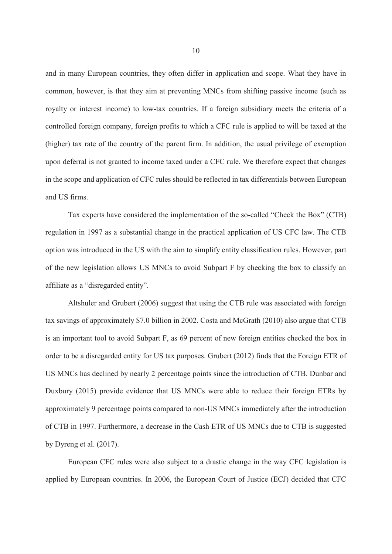and in many European countries, they often differ in application and scope. What they have in common, however, is that they aim at preventing MNCs from shifting passive income (such as royalty or interest income) to low-tax countries. If a foreign subsidiary meets the criteria of a controlled foreign company, foreign profits to which a CFC rule is applied to will be taxed at the (higher) tax rate of the country of the parent firm. In addition, the usual privilege of exemption upon deferral is not granted to income taxed under a CFC rule. We therefore expect that changes in the scope and application of CFC rules should be reflected in tax differentials between European and US firms.

Tax experts have considered the implementation of the so-called "Check the Box" (CTB) regulation in 1997 as a substantial change in the practical application of US CFC law. The CTB option was introduced in the US with the aim to simplify entity classification rules. However, part of the new legislation allows US MNCs to avoid Subpart F by checking the box to classify an affiliate as a "disregarded entity".

Altshuler and Grubert (2006) suggest that using the CTB rule was associated with foreign tax savings of approximately \$7.0 billion in 2002. Costa and McGrath (2010) also argue that CTB is an important tool to avoid Subpart F, as 69 percent of new foreign entities checked the box in order to be a disregarded entity for US tax purposes. Grubert (2012) finds that the Foreign ETR of US MNCs has declined by nearly 2 percentage points since the introduction of CTB. Dunbar and Duxbury (2015) provide evidence that US MNCs were able to reduce their foreign ETRs by approximately 9 percentage points compared to non-US MNCs immediately after the introduction of CTB in 1997. Furthermore, a decrease in the Cash ETR of US MNCs due to CTB is suggested by Dyreng et al. (2017).

European CFC rules were also subject to a drastic change in the way CFC legislation is applied by European countries. In 2006, the European Court of Justice (ECJ) decided that CFC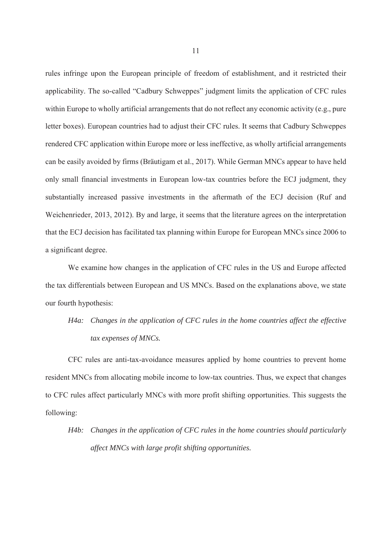rules infringe upon the European principle of freedom of establishment, and it restricted their applicability. The so-called "Cadbury Schweppes" judgment limits the application of CFC rules within Europe to wholly artificial arrangements that do not reflect any economic activity (e.g., pure letter boxes). European countries had to adjust their CFC rules. It seems that Cadbury Schweppes rendered CFC application within Europe more or less ineffective, as wholly artificial arrangements can be easily avoided by firms (Bräutigam et al., 2017). While German MNCs appear to have held only small financial investments in European low-tax countries before the ECJ judgment, they substantially increased passive investments in the aftermath of the ECJ decision (Ruf and Weichenrieder, 2013, 2012). By and large, it seems that the literature agrees on the interpretation that the ECJ decision has facilitated tax planning within Europe for European MNCs since 2006 to a significant degree.

We examine how changes in the application of CFC rules in the US and Europe affected the tax differentials between European and US MNCs. Based on the explanations above, we state our fourth hypothesis:

## *H4a: Changes in the application of CFC rules in the home countries affect the effective tax expenses of MNCs.*

CFC rules are anti-tax-avoidance measures applied by home countries to prevent home resident MNCs from allocating mobile income to low-tax countries. Thus, we expect that changes to CFC rules affect particularly MNCs with more profit shifting opportunities. This suggests the following:

## *H4b: Changes in the application of CFC rules in the home countries should particularly affect MNCs with large profit shifting opportunities.*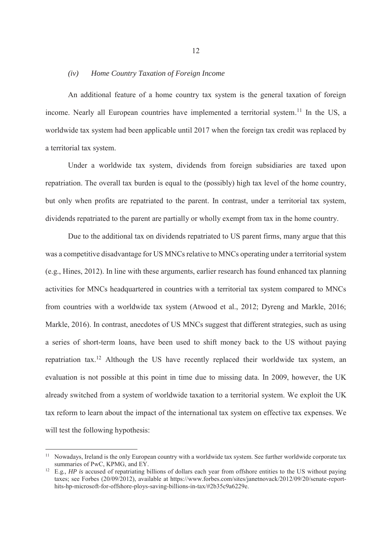### *(iv) Home Country Taxation of Foreign Income*

An additional feature of a home country tax system is the general taxation of foreign income. Nearly all European countries have implemented a territorial system.<sup>11</sup> In the US, a worldwide tax system had been applicable until 2017 when the foreign tax credit was replaced by a territorial tax system.

Under a worldwide tax system, dividends from foreign subsidiaries are taxed upon repatriation. The overall tax burden is equal to the (possibly) high tax level of the home country, but only when profits are repatriated to the parent. In contrast, under a territorial tax system, dividends repatriated to the parent are partially or wholly exempt from tax in the home country.

Due to the additional tax on dividends repatriated to US parent firms, many argue that this was a competitive disadvantage for US MNCs relative to MNCs operating under a territorial system (e.g., Hines, 2012). In line with these arguments, earlier research has found enhanced tax planning activities for MNCs headquartered in countries with a territorial tax system compared to MNCs from countries with a worldwide tax system (Atwood et al., 2012; Dyreng and Markle, 2016; Markle, 2016). In contrast, anecdotes of US MNCs suggest that different strategies, such as using a series of short-term loans, have been used to shift money back to the US without paying repatriation tax.<sup>12</sup> Although the US have recently replaced their worldwide tax system, an evaluation is not possible at this point in time due to missing data. In 2009, however, the UK already switched from a system of worldwide taxation to a territorial system. We exploit the UK tax reform to learn about the impact of the international tax system on effective tax expenses. We will test the following hypothesis:

<sup>&</sup>lt;sup>11</sup> Nowadays, Ireland is the only European country with a worldwide tax system. See further worldwide corporate tax summaries of PwC, KPMG, and EY.

<sup>&</sup>lt;sup>12</sup> E.g., *HP is* accused of repatriating billions of dollars each year from offshore entities to the US without paying taxes; see Forbes (20/09/2012), available at https://www.forbes.com/sites/janetnovack/2012/09/20/senate-reporthits-hp-microsoft-for-offshore-ploys-saving-billions-in-tax/#2b35c9a6229e.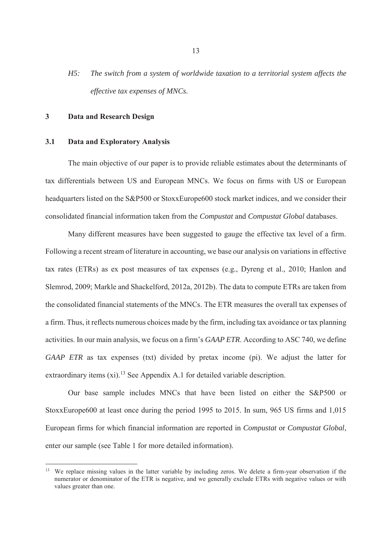*H5: The switch from a system of worldwide taxation to a territorial system affects the effective tax expenses of MNCs.* 

## **3 Data and Research Design**

-

### **3.1 Data and Exploratory Analysis**

The main objective of our paper is to provide reliable estimates about the determinants of tax differentials between US and European MNCs. We focus on firms with US or European headquarters listed on the S&P500 or StoxxEurope600 stock market indices, and we consider their consolidated financial information taken from the *Compustat* and *Compustat Global* databases.

Many different measures have been suggested to gauge the effective tax level of a firm. Following a recent stream of literature in accounting, we base our analysis on variations in effective tax rates (ETRs) as ex post measures of tax expenses (e.g., Dyreng et al., 2010; Hanlon and Slemrod, 2009; Markle and Shackelford, 2012a, 2012b). The data to compute ETRs are taken from the consolidated financial statements of the MNCs. The ETR measures the overall tax expenses of a firm. Thus, it reflects numerous choices made by the firm, including tax avoidance or tax planning activities. In our main analysis, we focus on a firm's *GAAP ETR*. According to ASC 740, we define *GAAP ETR* as tax expenses (txt) divided by pretax income (pi). We adjust the latter for extraordinary items  $(xi)$ .<sup>13</sup> See Appendix A.1 for detailed variable description.

Our base sample includes MNCs that have been listed on either the S&P500 or StoxxEurope600 at least once during the period 1995 to 2015. In sum, 965 US firms and 1,015 European firms for which financial information are reported in *Compustat* or *Compustat Global*, enter our sample (see Table 1 for more detailed information).

<sup>&</sup>lt;sup>13</sup> We replace missing values in the latter variable by including zeros. We delete a firm-year observation if the numerator or denominator of the ETR is negative, and we generally exclude ETRs with negative values or with values greater than one.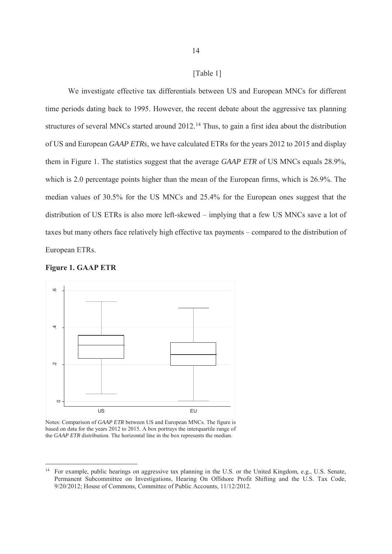[Table 1]

We investigate effective tax differentials between US and European MNCs for different time periods dating back to 1995. However, the recent debate about the aggressive tax planning structures of several MNCs started around 2012.<sup>14</sup> Thus, to gain a first idea about the distribution of US and European *GAAP ETRs*, we have calculated ETRs for the years 2012 to 2015 and display them in Figure 1. The statistics suggest that the average *GAAP ETR* of US MNCs equals 28.9%, which is 2.0 percentage points higher than the mean of the European firms, which is 26.9%. The median values of 30.5% for the US MNCs and 25.4% for the European ones suggest that the distribution of US ETRs is also more left-skewed – implying that a few US MNCs save a lot of taxes but many others face relatively high effective tax payments – compared to the distribution of European ETRs.





Notes: Comparison of *GAAP ETR* between US and European MNCs. The figure is based on data for the years 2012 to 2015. A box portrays the interquartile range of the *GAAP ETR* distribution. The horizontal line in the box represents the median.

<sup>&</sup>lt;sup>14</sup> For example, public hearings on aggressive tax planning in the U.S. or the United Kingdom, e.g., U.S. Senate, Permanent Subcommittee on Investigations, Hearing On Offshore Profit Shifting and the U.S. Tax Code, 9/20/2012; House of Commons, Committee of Public Accounts, 11/12/2012.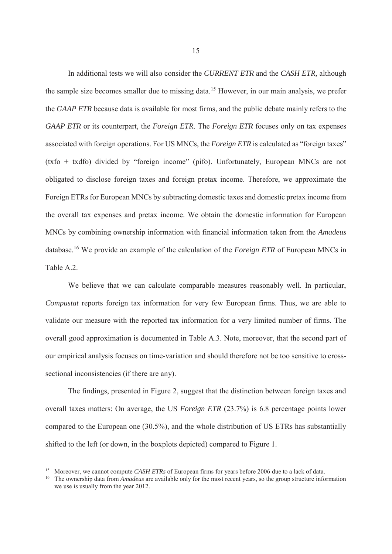In additional tests we will also consider the *CURRENT ETR* and the *CASH ETR,* although the sample size becomes smaller due to missing data.<sup>15</sup> However, in our main analysis, we prefer the *GAAP ETR* because data is available for most firms, and the public debate mainly refers to the *GAAP ETR* or its counterpart*,* the *Foreign ETR*. The *Foreign ETR* focuses only on tax expenses associated with foreign operations. For US MNCs, the *Foreign ETR* is calculated as "foreign taxes" (txfo + txdfo) divided by "foreign income" (pifo). Unfortunately, European MNCs are not obligated to disclose foreign taxes and foreign pretax income. Therefore, we approximate the Foreign ETRs for European MNCs by subtracting domestic taxes and domestic pretax income from the overall tax expenses and pretax income. We obtain the domestic information for European MNCs by combining ownership information with financial information taken from the *Amadeus* database.16 We provide an example of the calculation of the *Foreign ETR* of European MNCs in Table A.2.

We believe that we can calculate comparable measures reasonably well. In particular, *Compustat* reports foreign tax information for very few European firms. Thus, we are able to validate our measure with the reported tax information for a very limited number of firms. The overall good approximation is documented in Table A.3. Note, moreover, that the second part of our empirical analysis focuses on time-variation and should therefore not be too sensitive to crosssectional inconsistencies (if there are any).

The findings, presented in Figure 2, suggest that the distinction between foreign taxes and overall taxes matters: On average, the US *Foreign ETR* (23.7%) is 6.8 percentage points lower compared to the European one (30.5%), and the whole distribution of US ETRs has substantially shifted to the left (or down, in the boxplots depicted) compared to Figure 1.

<sup>&</sup>lt;sup>15</sup> Moreover, we cannot compute *CASH ETRs* of European firms for years before 2006 due to a lack of data.

<sup>&</sup>lt;sup>16</sup> The ownership data from *Amadeus* are available only for the most recent years, so the group structure information we use is usually from the year 2012.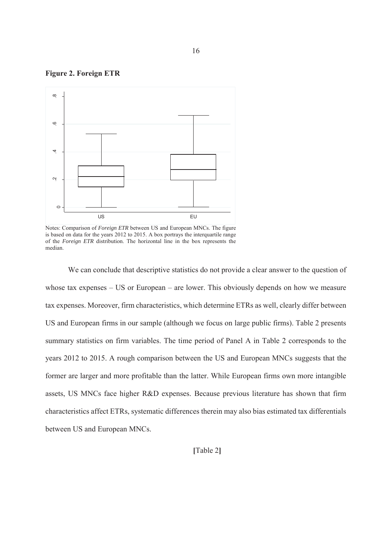**Figure 2. Foreign ETR** 



Notes: Comparison of *Foreign ETR* between US and European MNCs. The figure is based on data for the years 2012 to 2015. A box portrays the interquartile range of the *Foreign ETR* distribution. The horizontal line in the box represents the median.

We can conclude that descriptive statistics do not provide a clear answer to the question of whose tax expenses – US or European – are lower. This obviously depends on how we measure tax expenses. Moreover, firm characteristics, which determine ETRs as well, clearly differ between US and European firms in our sample (although we focus on large public firms). Table 2 presents summary statistics on firm variables. The time period of Panel A in Table 2 corresponds to the years 2012 to 2015. A rough comparison between the US and European MNCs suggests that the former are larger and more profitable than the latter. While European firms own more intangible assets, US MNCs face higher R&D expenses. Because previous literature has shown that firm characteristics affect ETRs, systematic differences therein may also bias estimated tax differentials between US and European MNCs.

**[**Table 2**]**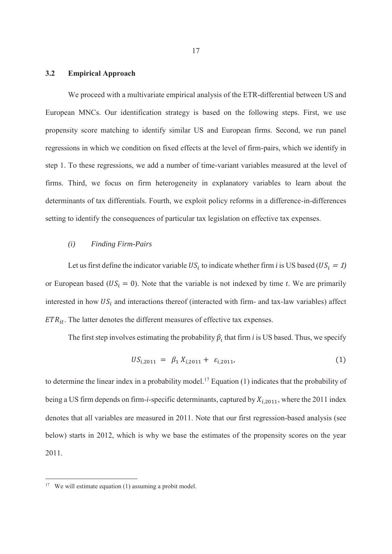### **3.2 Empirical Approach**

We proceed with a multivariate empirical analysis of the ETR-differential between US and European MNCs. Our identification strategy is based on the following steps. First, we use propensity score matching to identify similar US and European firms. Second, we run panel regressions in which we condition on fixed effects at the level of firm-pairs, which we identify in step 1. To these regressions, we add a number of time-variant variables measured at the level of firms. Third, we focus on firm heterogeneity in explanatory variables to learn about the determinants of tax differentials. Fourth, we exploit policy reforms in a difference-in-differences setting to identify the consequences of particular tax legislation on effective tax expenses.

## *(i) Finding Firm-Pairs*

Let us first define the indicator variable  $US_i$  to indicate whether firm *i* is US based ( $US_i = 1$ ) or European based ( $US_i = 0$ ). Note that the variable is not indexed by time *t*. We are primarily interested in how  $US_i$  and interactions thereof (interacted with firm- and tax-law variables) affect  $ETR_{it}$ . The latter denotes the different measures of effective tax expenses.

The first step involves estimating the probability  $\hat{p}_i$  that firm *i* is US based. Thus, we specify

$$
US_{i,2011} = \beta_1 X_{i,2011} + \varepsilon_{i,2011}, \tag{1}
$$

to determine the linear index in a probability model.<sup>17</sup> Equation (1) indicates that the probability of being a US firm depends on firm-*i*-specific determinants, captured by  $X_{i,2011}$ , where the 2011 index denotes that all variables are measured in 2011. Note that our first regression-based analysis (see below) starts in 2012, which is why we base the estimates of the propensity scores on the year 2011.

<sup>&</sup>lt;sup>17</sup> We will estimate equation (1) assuming a probit model.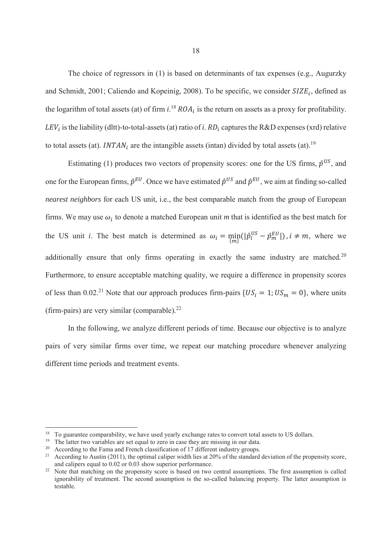The choice of regressors in (1) is based on determinants of tax expenses (e.g., Augurzky and Schmidt, 2001; Caliendo and Kopeinig, 2008). To be specific, we consider  $SIZE_i$ , defined as the logarithm of total assets (at) of firm  $i^{18}$   $ROA_i$  is the return on assets as a proxy for profitability.  $LEV_i$  is the liability (dltt)-to-total-assets (at) ratio of *i*.  $RD_i$  captures the R&D expenses (xrd) relative to total assets (at). INTAN<sub>i</sub> are the intangible assets (intan) divided by total assets (at).<sup>19</sup>

Estimating (1) produces two vectors of propensity scores: one for the US firms,  $\hat{p}^{US}$ , and one for the European firms,  $\hat{p}^{EU}$ . Once we have estimated  $\hat{p}^{US}$  and  $\hat{p}^{EU}$ , we aim at finding so-called *nearest neighbors* for each US unit, i.e., the best comparable match from the group of European firms. We may use  $\omega_i$  to denote a matched European unit *m* that is identified as the best match for the US unit *i*. The best match is determined as  $\omega_i = \min_{\{m\}}(|\hat{p}_i^{US} - \hat{p}_m^{EU}|)$ ,  $i \neq m$ , where we additionally ensure that only firms operating in exactly the same industry are matched.<sup>20</sup> Furthermore, to ensure acceptable matching quality, we require a difference in propensity scores of less than 0.02.<sup>21</sup> Note that our approach produces firm-pairs  $\{US_i = 1; US_m = 0\}$ , where units (firm-pairs) are very similar (comparable). $^{22}$ 

In the following, we analyze different periods of time. Because our objective is to analyze pairs of very similar firms over time, we repeat our matching procedure whenever analyzing different time periods and treatment events.

<sup>&</sup>lt;sup>18</sup> To guarantee comparability, we have used yearly exchange rates to convert total assets to US dollars.<br><sup>19</sup> The latter two variables are set equal to zero in case they are missing in our data.<br><sup>20</sup> According to the Fa and calipers equal to 0.02 or 0.03 show superior performance.<br><sup>22</sup> Note that matching on the propensity score is based on two central assumptions. The first assumption is called

ignorability of treatment. The second assumption is the so-called balancing property. The latter assumption is testable.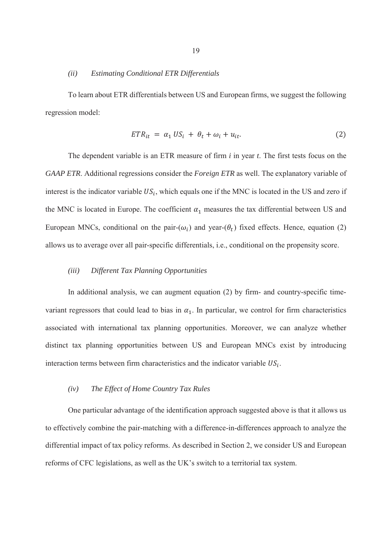#### *(ii) Estimating Conditional ETR Differentials*

To learn about ETR differentials between US and European firms, we suggest the following regression model:

$$
ETR_{it} = \alpha_1 US_i + \theta_t + \omega_i + u_{it}. \qquad (2)
$$

The dependent variable is an ETR measure of firm *i* in year *t*. The first tests focus on the *GAAP ETR*. Additional regressions consider the *Foreign ETR* as well. The explanatory variable of interest is the indicator variable  $US_i$ , which equals one if the MNC is located in the US and zero if the MNC is located in Europe. The coefficient  $\alpha_1$  measures the tax differential between US and European MNCs, conditional on the pair- $(\omega_i)$  and year- $(\theta_t)$  fixed effects. Hence, equation (2) allows us to average over all pair-specific differentials, i.e., conditional on the propensity score.

## *(iii) Different Tax Planning Opportunities*

In additional analysis, we can augment equation (2) by firm- and country-specific timevariant regressors that could lead to bias in  $\alpha_1$ . In particular, we control for firm characteristics associated with international tax planning opportunities. Moreover, we can analyze whether distinct tax planning opportunities between US and European MNCs exist by introducing interaction terms between firm characteristics and the indicator variable  $US_i$ .

## *(iv) The Effect of Home Country Tax Rules*

One particular advantage of the identification approach suggested above is that it allows us to effectively combine the pair-matching with a difference-in-differences approach to analyze the differential impact of tax policy reforms. As described in Section 2, we consider US and European reforms of CFC legislations, as well as the UK's switch to a territorial tax system.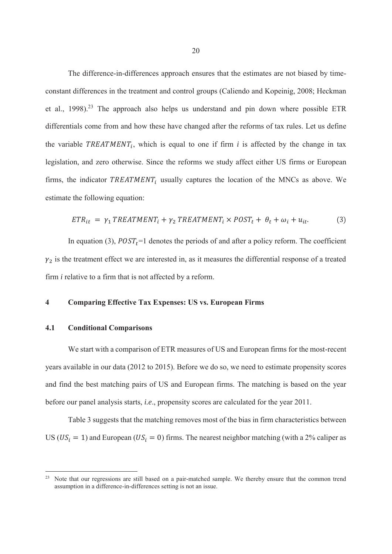The difference-in-differences approach ensures that the estimates are not biased by timeconstant differences in the treatment and control groups (Caliendo and Kopeinig, 2008; Heckman et al.,  $1998$ ).<sup>23</sup> The approach also helps us understand and pin down where possible ETR differentials come from and how these have changed after the reforms of tax rules. Let us define the variable  $TREATMENT_i$ , which is equal to one if firm *i* is affected by the change in tax legislation, and zero otherwise. Since the reforms we study affect either US firms or European firms, the indicator  $TREATMENT_i$  usually captures the location of the MNCs as above. We estimate the following equation:

$$
ETR_{it} = \gamma_1 TREATMENT_i + \gamma_2 TREATMENT_i \times POST_t + \theta_t + \omega_i + u_{it}. \tag{3}
$$

In equation (3),  $POST<sub>t</sub>=1$  denotes the periods of and after a policy reform. The coefficient  $\gamma_2$  is the treatment effect we are interested in, as it measures the differential response of a treated firm *i* relative to a firm that is not affected by a reform.

## **4 Comparing Effective Tax Expenses: US vs. European Firms**

## **4.1 Conditional Comparisons**

-

We start with a comparison of ETR measures of US and European firms for the most-recent years available in our data (2012 to 2015). Before we do so, we need to estimate propensity scores and find the best matching pairs of US and European firms. The matching is based on the year before our panel analysis starts, *i.e*., propensity scores are calculated for the year 2011.

Table 3 suggests that the matching removes most of the bias in firm characteristics between US ( $US_i = 1$ ) and European ( $US_i = 0$ ) firms. The nearest neighbor matching (with a 2% caliper as

<sup>23</sup> Note that our regressions are still based on a pair-matched sample. We thereby ensure that the common trend assumption in a difference-in-differences setting is not an issue.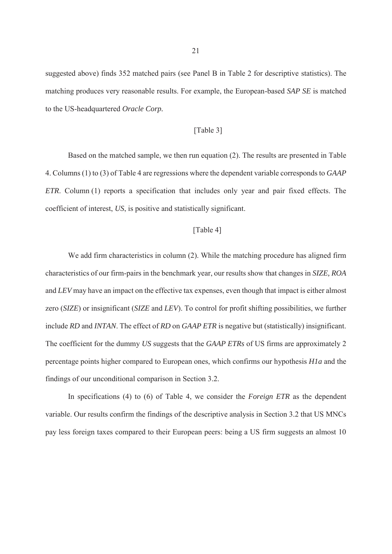suggested above) finds 352 matched pairs (see Panel B in Table 2 for descriptive statistics). The matching produces very reasonable results. For example, the European-based *SAP SE* is matched to the US-headquartered *Oracle Corp.* 

## [Table 3]

Based on the matched sample, we then run equation (2). The results are presented in Table 4. Columns (1) to (3) of Table 4 are regressions where the dependent variable corresponds to *GAAP ETR*. Column (1) reports a specification that includes only year and pair fixed effects. The coefficient of interest, *US*, is positive and statistically significant.

## [Table 4]

We add firm characteristics in column (2). While the matching procedure has aligned firm characteristics of our firm-pairs in the benchmark year, our results show that changes in *SIZE, ROA* and *LEV* may have an impact on the effective tax expenses, even though that impact is either almost zero (*SIZE*) or insignificant (*SIZE* and *LEV*). To control for profit shifting possibilities, we further include *RD* and *INTAN*. The effect of *RD* on *GAAP ETR* is negative but (statistically) insignificant. The coefficient for the dummy *US* suggests that the *GAAP ETRs* of US firms are approximately 2 percentage points higher compared to European ones, which confirms our hypothesis *H1a* and the findings of our unconditional comparison in Section 3.2.

In specifications (4) to (6) of Table 4, we consider the *Foreign ETR* as the dependent variable. Our results confirm the findings of the descriptive analysis in Section 3.2 that US MNCs pay less foreign taxes compared to their European peers: being a US firm suggests an almost 10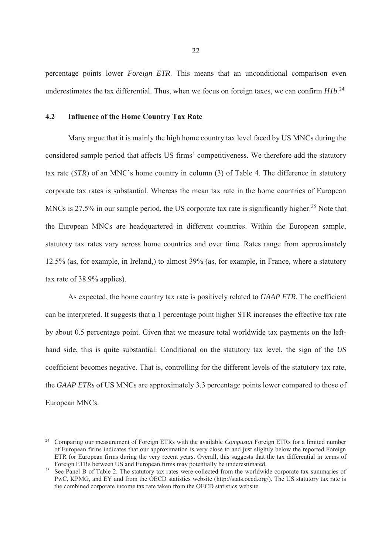percentage points lower *Foreign ETR*. This means that an unconditional comparison even underestimates the tax differential. Thus, when we focus on foreign taxes, we can confirm *H1b*. 24

## **4.2 Influence of the Home Country Tax Rate**

-

Many argue that it is mainly the high home country tax level faced by US MNCs during the considered sample period that affects US firms' competitiveness. We therefore add the statutory tax rate (*STR*) of an MNC's home country in column (3) of Table 4. The difference in statutory corporate tax rates is substantial. Whereas the mean tax rate in the home countries of European MNCs is 27.5% in our sample period, the US corporate tax rate is significantly higher.<sup>25</sup> Note that the European MNCs are headquartered in different countries. Within the European sample, statutory tax rates vary across home countries and over time. Rates range from approximately 12.5% (as, for example, in Ireland,) to almost 39% (as, for example, in France, where a statutory tax rate of 38.9% applies).

As expected, the home country tax rate is positively related to *GAAP ETR*. The coefficient can be interpreted. It suggests that a 1 percentage point higher STR increases the effective tax rate by about 0.5 percentage point. Given that we measure total worldwide tax payments on the lefthand side, this is quite substantial. Conditional on the statutory tax level, the sign of the *US* coefficient becomes negative. That is, controlling for the different levels of the statutory tax rate, the *GAAP ETRs* of US MNCs are approximately 3.3 percentage points lower compared to those of European MNCs.

<sup>24</sup> Comparing our measurement of Foreign ETRs with the available *Compustat* Foreign ETRs for a limited number of European firms indicates that our approximation is very close to and just slightly below the reported Foreign ETR for European firms during the very recent years. Overall, this suggests that the tax differential in terms of Foreign ETRs between US and European firms may potentially be underestimated.

<sup>&</sup>lt;sup>25</sup> See Panel B of Table 2. The statutory tax rates were collected from the worldwide corporate tax summaries of PwC, KPMG, and EY and from the OECD statistics website (http://stats.oecd.org/). The US statutory tax rate is the combined corporate income tax rate taken from the OECD statistics website.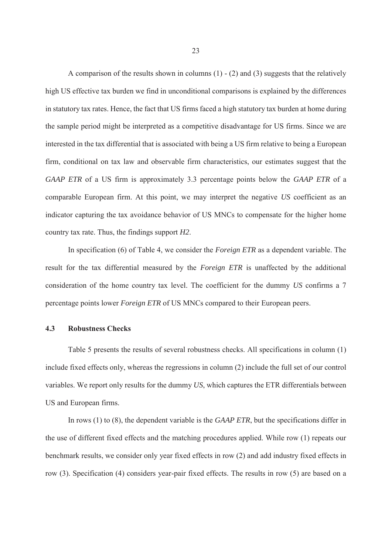A comparison of the results shown in columns  $(1)$  -  $(2)$  and  $(3)$  suggests that the relatively high US effective tax burden we find in unconditional comparisons is explained by the differences in statutory tax rates. Hence, the fact that US firms faced a high statutory tax burden at home during the sample period might be interpreted as a competitive disadvantage for US firms. Since we are interested in the tax differential that is associated with being a US firm relative to being a European firm, conditional on tax law and observable firm characteristics, our estimates suggest that the *GAAP ETR* of a US firm is approximately 3.3 percentage points below the *GAAP ETR* of a comparable European firm. At this point, we may interpret the negative *US* coefficient as an indicator capturing the tax avoidance behavior of US MNCs to compensate for the higher home country tax rate. Thus, the findings support *H2*.

In specification (6) of Table 4, we consider the *Foreign ETR* as a dependent variable. The result for the tax differential measured by the *Foreign ETR* is unaffected by the additional consideration of the home country tax level. The coefficient for the dummy *US* confirms a 7 percentage points lower *Foreign ETR* of US MNCs compared to their European peers.

## **4.3 Robustness Checks**

Table 5 presents the results of several robustness checks. All specifications in column (1) include fixed effects only, whereas the regressions in column (2) include the full set of our control variables. We report only results for the dummy *US*, which captures the ETR differentials between US and European firms.

In rows (1) to (8), the dependent variable is the *GAAP ETR*, but the specifications differ in the use of different fixed effects and the matching procedures applied. While row (1) repeats our benchmark results, we consider only year fixed effects in row (2) and add industry fixed effects in row (3). Specification (4) considers year-pair fixed effects. The results in row (5) are based on a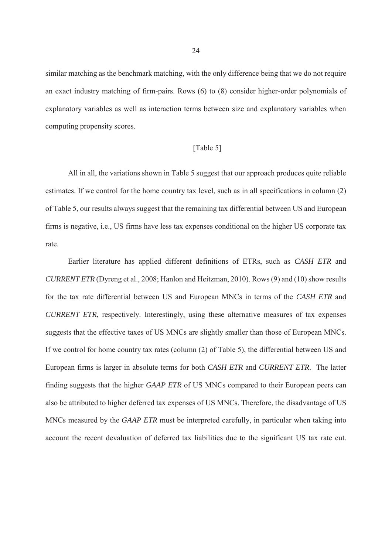similar matching as the benchmark matching, with the only difference being that we do not require an exact industry matching of firm-pairs. Rows (6) to (8) consider higher-order polynomials of explanatory variables as well as interaction terms between size and explanatory variables when computing propensity scores.

## [Table 5]

All in all, the variations shown in Table 5 suggest that our approach produces quite reliable estimates. If we control for the home country tax level, such as in all specifications in column (2) of Table 5, our results always suggest that the remaining tax differential between US and European firms is negative, i.e., US firms have less tax expenses conditional on the higher US corporate tax rate.

Earlier literature has applied different definitions of ETRs, such as *CASH ETR* and *CURRENT ETR* (Dyreng et al., 2008; Hanlon and Heitzman, 2010). Rows (9) and (10) show results for the tax rate differential between US and European MNCs in terms of the *CASH ETR* and *CURRENT ETR*, respectively. Interestingly, using these alternative measures of tax expenses suggests that the effective taxes of US MNCs are slightly smaller than those of European MNCs. If we control for home country tax rates (column (2) of Table 5), the differential between US and European firms is larger in absolute terms for both *CASH ETR* and *CURRENT ETR*. The latter finding suggests that the higher *GAAP ETR* of US MNCs compared to their European peers can also be attributed to higher deferred tax expenses of US MNCs. Therefore, the disadvantage of US MNCs measured by the *GAAP ETR* must be interpreted carefully, in particular when taking into account the recent devaluation of deferred tax liabilities due to the significant US tax rate cut.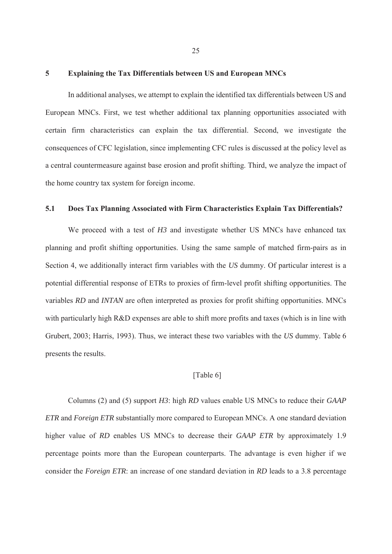#### **5 Explaining the Tax Differentials between US and European MNCs**

In additional analyses, we attempt to explain the identified tax differentials between US and European MNCs. First, we test whether additional tax planning opportunities associated with certain firm characteristics can explain the tax differential. Second, we investigate the consequences of CFC legislation, since implementing CFC rules is discussed at the policy level as a central countermeasure against base erosion and profit shifting. Third, we analyze the impact of the home country tax system for foreign income.

## **5.1 Does Tax Planning Associated with Firm Characteristics Explain Tax Differentials?**

We proceed with a test of *H3* and investigate whether US MNCs have enhanced tax planning and profit shifting opportunities. Using the same sample of matched firm-pairs as in Section 4, we additionally interact firm variables with the *US* dummy. Of particular interest is a potential differential response of ETRs to proxies of firm-level profit shifting opportunities. The variables *RD* and *INTAN* are often interpreted as proxies for profit shifting opportunities. MNCs with particularly high R&D expenses are able to shift more profits and taxes (which is in line with Grubert, 2003; Harris, 1993). Thus, we interact these two variables with the *US* dummy. Table 6 presents the results.

## [Table 6]

Columns (2) and (5) support *H3*: high *RD* values enable US MNCs to reduce their *GAAP ETR* and *Foreign ETR* substantially more compared to European MNCs. A one standard deviation higher value of *RD* enables US MNCs to decrease their *GAAP ETR* by approximately 1.9 percentage points more than the European counterparts. The advantage is even higher if we consider the *Foreign ETR*: an increase of one standard deviation in *RD* leads to a 3.8 percentage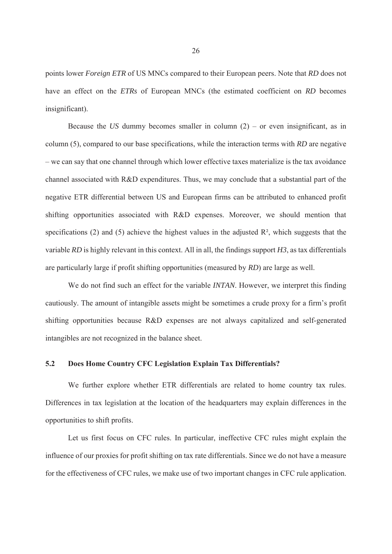points lower *Foreign ETR* of US MNCs compared to their European peers. Note that *RD* does not have an effect on the *ETRs* of European MNCs (the estimated coefficient on *RD* becomes insignificant).

Because the *US* dummy becomes smaller in column  $(2)$  – or even insignificant, as in column (5), compared to our base specifications, while the interaction terms with *RD* are negative – we can say that one channel through which lower effective taxes materialize is the tax avoidance channel associated with R&D expenditures. Thus, we may conclude that a substantial part of the negative ETR differential between US and European firms can be attributed to enhanced profit shifting opportunities associated with R&D expenses. Moreover, we should mention that specifications (2) and (5) achieve the highest values in the adjusted  $\mathbb{R}^2$ , which suggests that the variable *RD* is highly relevant in this context. All in all, the findings support *H3*, as tax differentials are particularly large if profit shifting opportunities (measured by *RD*) are large as well.

We do not find such an effect for the variable *INTAN*. However, we interpret this finding cautiously. The amount of intangible assets might be sometimes a crude proxy for a firm's profit shifting opportunities because R&D expenses are not always capitalized and self-generated intangibles are not recognized in the balance sheet.

## **5.2 Does Home Country CFC Legislation Explain Tax Differentials?**

We further explore whether ETR differentials are related to home country tax rules. Differences in tax legislation at the location of the headquarters may explain differences in the opportunities to shift profits.

Let us first focus on CFC rules. In particular, ineffective CFC rules might explain the influence of our proxies for profit shifting on tax rate differentials. Since we do not have a measure for the effectiveness of CFC rules, we make use of two important changes in CFC rule application.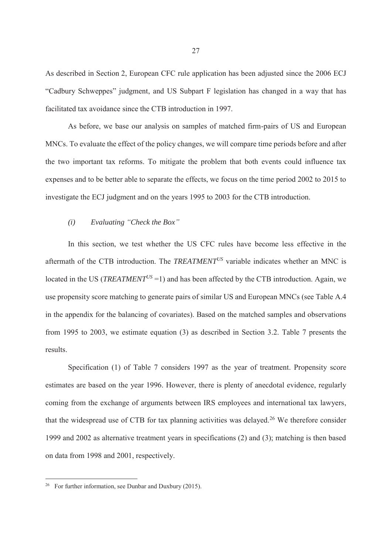As described in Section 2, European CFC rule application has been adjusted since the 2006 ECJ "Cadbury Schweppes" judgment, and US Subpart F legislation has changed in a way that has facilitated tax avoidance since the CTB introduction in 1997.

As before, we base our analysis on samples of matched firm-pairs of US and European MNCs. To evaluate the effect of the policy changes, we will compare time periods before and after the two important tax reforms. To mitigate the problem that both events could influence tax expenses and to be better able to separate the effects, we focus on the time period 2002 to 2015 to investigate the ECJ judgment and on the years 1995 to 2003 for the CTB introduction.

## *(i) Evaluating "Check the Box"*

In this section, we test whether the US CFC rules have become less effective in the aftermath of the CTB introduction. The *TREATMENTUS* variable indicates whether an MNC is located in the US (*TREATMENT<sup>US</sup>* = 1) and has been affected by the CTB introduction. Again, we use propensity score matching to generate pairs of similar US and European MNCs (see Table A.4 in the appendix for the balancing of covariates). Based on the matched samples and observations from 1995 to 2003, we estimate equation (3) as described in Section 3.2. Table 7 presents the results.

Specification (1) of Table 7 considers 1997 as the year of treatment. Propensity score estimates are based on the year 1996. However, there is plenty of anecdotal evidence, regularly coming from the exchange of arguments between IRS employees and international tax lawyers, that the widespread use of CTB for tax planning activities was delayed.<sup>26</sup> We therefore consider 1999 and 2002 as alternative treatment years in specifications (2) and (3); matching is then based on data from 1998 and 2001, respectively.

<sup>&</sup>lt;sup>26</sup> For further information, see Dunbar and Duxbury (2015).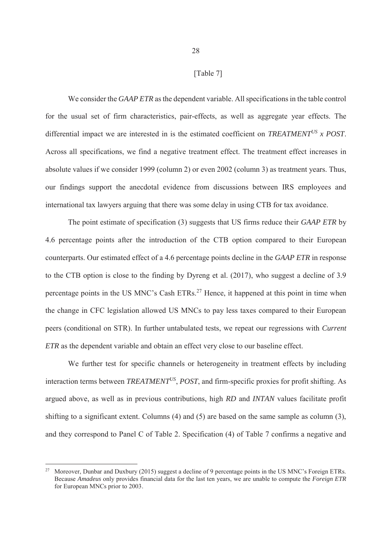[Table 7]

We consider the *GAAP ETR* as the dependent variable. All specifications in the table control for the usual set of firm characteristics, pair-effects, as well as aggregate year effects. The differential impact we are interested in is the estimated coefficient on *TREATMENTUS x POST*. Across all specifications, we find a negative treatment effect. The treatment effect increases in absolute values if we consider 1999 (column 2) or even 2002 (column 3) as treatment years. Thus, our findings support the anecdotal evidence from discussions between IRS employees and international tax lawyers arguing that there was some delay in using CTB for tax avoidance.

The point estimate of specification (3) suggests that US firms reduce their *GAAP ETR* by 4.6 percentage points after the introduction of the CTB option compared to their European counterparts. Our estimated effect of a 4.6 percentage points decline in the *GAAP ETR* in response to the CTB option is close to the finding by Dyreng et al. (2017), who suggest a decline of 3.9 percentage points in the US MNC's Cash ETRs.<sup>27</sup> Hence, it happened at this point in time when the change in CFC legislation allowed US MNCs to pay less taxes compared to their European peers (conditional on STR). In further untabulated tests, we repeat our regressions with *Current ETR* as the dependent variable and obtain an effect very close to our baseline effect.

We further test for specific channels or heterogeneity in treatment effects by including interaction terms between *TREATMENTUS*, *POST*, and firm-specific proxies for profit shifting. As argued above, as well as in previous contributions, high *RD* and *INTAN* values facilitate profit shifting to a significant extent. Columns (4) and (5) are based on the same sample as column (3), and they correspond to Panel C of Table 2. Specification (4) of Table 7 confirms a negative and

<sup>27</sup> Moreover, Dunbar and Duxbury (2015) suggest a decline of 9 percentage points in the US MNC's Foreign ETRs. Because *Amadeus* only provides financial data for the last ten years, we are unable to compute the *Foreign ETR* for European MNCs prior to 2003.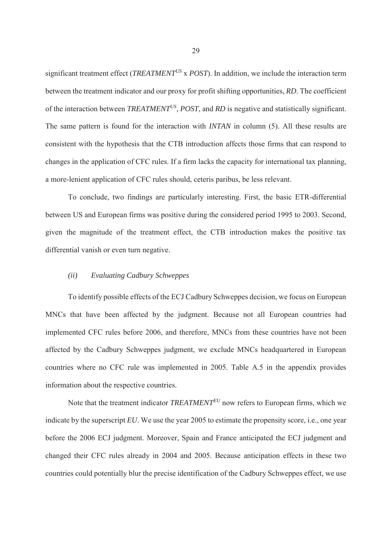significant treatment effect (*TREATMENTUS* x *POST*). In addition, we include the interaction term between the treatment indicator and our proxy for profit shifting opportunities, *RD*. The coefficient of the interaction between *TREATMENTUS*, *POST*, and *RD* is negative and statistically significant. The same pattern is found for the interaction with *INTAN* in column (5). All these results are consistent with the hypothesis that the CTB introduction affects those firms that can respond to changes in the application of CFC rules. If a firm lacks the capacity for international tax planning, a more-lenient application of CFC rules should, ceteris paribus, be less relevant.

To conclude, two findings are particularly interesting. First, the basic ETR-differential between US and European firms was positive during the considered period 1995 to 2003. Second, given the magnitude of the treatment effect, the CTB introduction makes the positive tax differential vanish or even turn negative.

#### *(ii) Evaluating Cadbury Schweppes*

To identify possible effects of the ECJ Cadbury Schweppes decision, we focus on European MNCs that have been affected by the judgment. Because not all European countries had implemented CFC rules before 2006, and therefore, MNCs from these countries have not been affected by the Cadbury Schweppes judgment, we exclude MNCs headquartered in European countries where no CFC rule was implemented in 2005. Table A.5 in the appendix provides information about the respective countries.

Note that the treatment indicator *TREATMENTEU* now refers to European firms, which we indicate by the superscript *EU*. We use the year 2005 to estimate the propensity score, i.e., one year before the 2006 ECJ judgment. Moreover, Spain and France anticipated the ECJ judgment and changed their CFC rules already in 2004 and 2005. Because anticipation effects in these two countries could potentially blur the precise identification of the Cadbury Schweppes effect, we use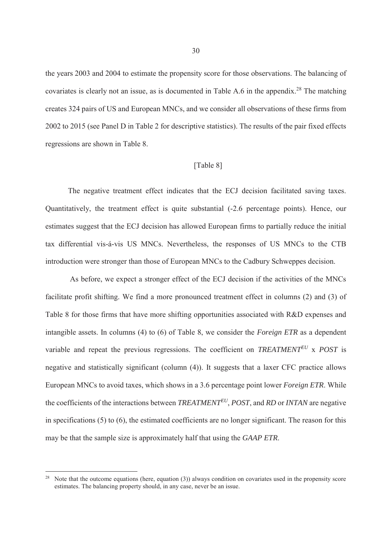the years 2003 and 2004 to estimate the propensity score for those observations. The balancing of covariates is clearly not an issue, as is documented in Table A.6 in the appendix.<sup>28</sup> The matching creates 324 pairs of US and European MNCs, and we consider all observations of these firms from 2002 to 2015 (see Panel D in Table 2 for descriptive statistics). The results of the pair fixed effects regressions are shown in Table 8.

## [Table 8]

The negative treatment effect indicates that the ECJ decision facilitated saving taxes. Quantitatively, the treatment effect is quite substantial (-2.6 percentage points). Hence, our estimates suggest that the ECJ decision has allowed European firms to partially reduce the initial tax differential vis-á-vis US MNCs. Nevertheless, the responses of US MNCs to the CTB introduction were stronger than those of European MNCs to the Cadbury Schweppes decision.

 As before, we expect a stronger effect of the ECJ decision if the activities of the MNCs facilitate profit shifting. We find a more pronounced treatment effect in columns (2) and (3) of Table 8 for those firms that have more shifting opportunities associated with R&D expenses and intangible assets. In columns (4) to (6) of Table 8, we consider the *Foreign ETR* as a dependent variable and repeat the previous regressions. The coefficient on *TREATMENTEU* x *POST* is negative and statistically significant (column (4)). It suggests that a laxer CFC practice allows European MNCs to avoid taxes, which shows in a 3.6 percentage point lower *Foreign ETR*. While the coefficients of the interactions between *TREATMENTEU*, *POST*, and *RD* or *INTAN* are negative in specifications (5) to (6), the estimated coefficients are no longer significant. The reason for this may be that the sample size is approximately half that using the *GAAP ETR*.

Note that the outcome equations (here, equation (3)) always condition on covariates used in the propensity score estimates. The balancing property should, in any case, never be an issue.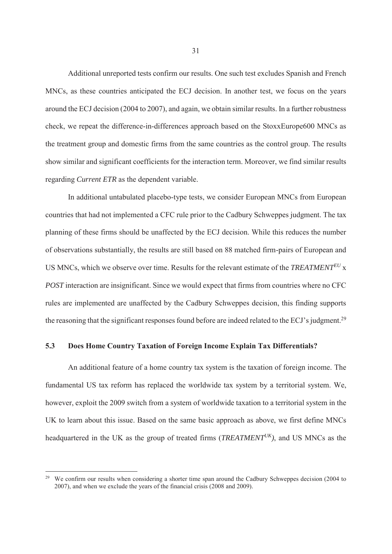Additional unreported tests confirm our results. One such test excludes Spanish and French MNCs, as these countries anticipated the ECJ decision. In another test, we focus on the years around the ECJ decision (2004 to 2007), and again, we obtain similar results. In a further robustness check, we repeat the difference-in-differences approach based on the StoxxEurope600 MNCs as the treatment group and domestic firms from the same countries as the control group. The results show similar and significant coefficients for the interaction term. Moreover, we find similar results regarding *Current ETR* as the dependent variable.

In additional untabulated placebo-type tests, we consider European MNCs from European countries that had not implemented a CFC rule prior to the Cadbury Schweppes judgment. The tax planning of these firms should be unaffected by the ECJ decision. While this reduces the number of observations substantially, the results are still based on 88 matched firm-pairs of European and US MNCs, which we observe over time. Results for the relevant estimate of the *TREATMENTEU* x *POST* interaction are insignificant. Since we would expect that firms from countries where no CFC rules are implemented are unaffected by the Cadbury Schweppes decision, this finding supports the reasoning that the significant responses found before are indeed related to the ECJ's judgment.<sup>29</sup>

## **5.3 Does Home Country Taxation of Foreign Income Explain Tax Differentials?**

An additional feature of a home country tax system is the taxation of foreign income. The fundamental US tax reform has replaced the worldwide tax system by a territorial system. We, however, exploit the 2009 switch from a system of worldwide taxation to a territorial system in the UK to learn about this issue. Based on the same basic approach as above, we first define MNCs headquartered in the UK as the group of treated firms (*TREATMENTUK)*, and US MNCs as the

<sup>29</sup> We confirm our results when considering a shorter time span around the Cadbury Schweppes decision (2004 to 2007), and when we exclude the years of the financial crisis (2008 and 2009).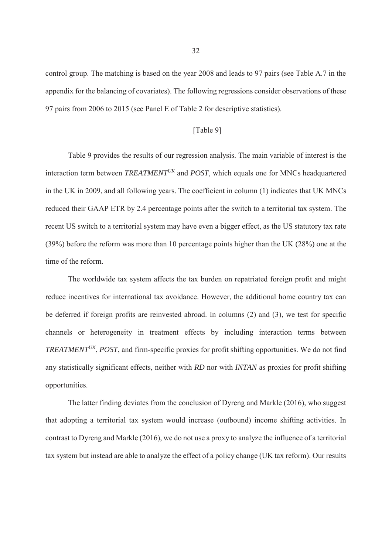control group. The matching is based on the year 2008 and leads to 97 pairs (see Table A.7 in the appendix for the balancing of covariates). The following regressions consider observations of these 97 pairs from 2006 to 2015 (see Panel E of Table 2 for descriptive statistics).

## [Table 9]

Table 9 provides the results of our regression analysis. The main variable of interest is the interaction term between *TREATMENTUK* and *POST*, which equals one for MNCs headquartered in the UK in 2009, and all following years. The coefficient in column (1) indicates that UK MNCs reduced their GAAP ETR by 2.4 percentage points after the switch to a territorial tax system. The recent US switch to a territorial system may have even a bigger effect, as the US statutory tax rate (39%) before the reform was more than 10 percentage points higher than the UK (28%) one at the time of the reform.

The worldwide tax system affects the tax burden on repatriated foreign profit and might reduce incentives for international tax avoidance. However, the additional home country tax can be deferred if foreign profits are reinvested abroad. In columns (2) and (3), we test for specific channels or heterogeneity in treatment effects by including interaction terms between *TREATMENTUK*, *POST*, and firm-specific proxies for profit shifting opportunities. We do not find any statistically significant effects, neither with *RD* nor with *INTAN* as proxies for profit shifting opportunities.

The latter finding deviates from the conclusion of Dyreng and Markle (2016), who suggest that adopting a territorial tax system would increase (outbound) income shifting activities. In contrast to Dyreng and Markle (2016), we do not use a proxy to analyze the influence of a territorial tax system but instead are able to analyze the effect of a policy change (UK tax reform). Our results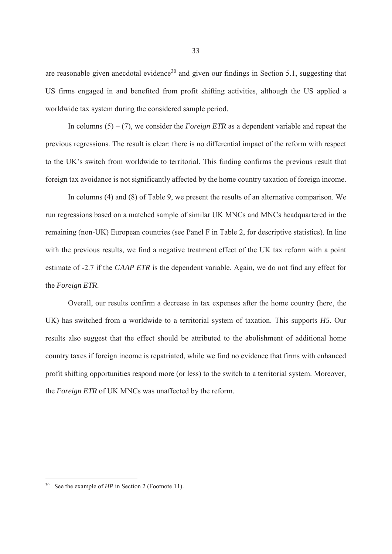are reasonable given anecdotal evidence<sup>30</sup> and given our findings in Section 5.1, suggesting that US firms engaged in and benefited from profit shifting activities, although the US applied a worldwide tax system during the considered sample period.

In columns (5) – (7), we consider the *Foreign ETR* as a dependent variable and repeat the previous regressions. The result is clear: there is no differential impact of the reform with respect to the UK's switch from worldwide to territorial. This finding confirms the previous result that foreign tax avoidance is not significantly affected by the home country taxation of foreign income.

In columns (4) and (8) of Table 9, we present the results of an alternative comparison. We run regressions based on a matched sample of similar UK MNCs and MNCs headquartered in the remaining (non-UK) European countries (see Panel F in Table 2, for descriptive statistics). In line with the previous results, we find a negative treatment effect of the UK tax reform with a point estimate of -2.7 if the *GAAP ETR* is the dependent variable. Again, we do not find any effect for the *Foreign ETR*.

Overall, our results confirm a decrease in tax expenses after the home country (here, the UK) has switched from a worldwide to a territorial system of taxation. This supports *H5*. Our results also suggest that the effect should be attributed to the abolishment of additional home country taxes if foreign income is repatriated, while we find no evidence that firms with enhanced profit shifting opportunities respond more (or less) to the switch to a territorial system. Moreover, the *Foreign ETR* of UK MNCs was unaffected by the reform.

<sup>&</sup>lt;sup>30</sup> See the example of *HP* in Section 2 (Footnote 11).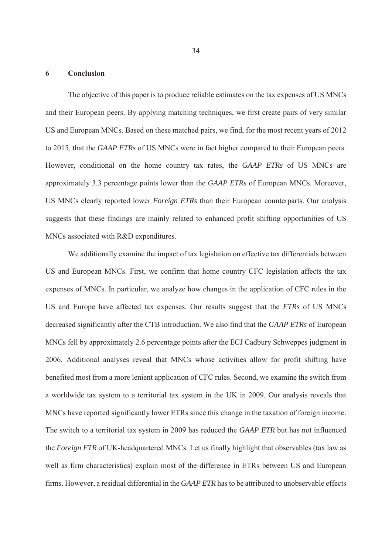## **6 Conclusion**

The objective of this paper is to produce reliable estimates on the tax expenses of US MNCs and their European peers. By applying matching techniques, we first create pairs of very similar US and European MNCs. Based on these matched pairs, we find, for the most recent years of 2012 to 2015, that the *GAAP ETRs* of US MNCs were in fact higher compared to their European peers. However, conditional on the home country tax rates, the *GAAP ETRs* of US MNCs are approximately 3.3 percentage points lower than the *GAAP ETRs* of European MNCs. Moreover, US MNCs clearly reported lower *Foreign ETRs* than their European counterparts. Our analysis suggests that these findings are mainly related to enhanced profit shifting opportunities of US MNCs associated with R&D expenditures.

We additionally examine the impact of tax legislation on effective tax differentials between US and European MNCs. First, we confirm that home country CFC legislation affects the tax expenses of MNCs. In particular, we analyze how changes in the application of CFC rules in the US and Europe have affected tax expenses. Our results suggest that the *ETRs* of US MNCs decreased significantly after the CTB introduction. We also find that the *GAAP ETRs* of European MNCs fell by approximately 2.6 percentage points after the ECJ Cadbury Schweppes judgment in 2006. Additional analyses reveal that MNCs whose activities allow for profit shifting have benefited most from a more lenient application of CFC rules. Second, we examine the switch from a worldwide tax system to a territorial tax system in the UK in 2009. Our analysis reveals that MNCs have reported significantly lower ETRs since this change in the taxation of foreign income. The switch to a territorial tax system in 2009 has reduced the *GAAP ETR* but has not influenced the *Foreign ETR* of UK-headquartered MNCs. Let us finally highlight that observables (tax law as well as firm characteristics) explain most of the difference in ETRs between US and European firms. However, a residual differential in the *GAAP ETR* has to be attributed to unobservable effects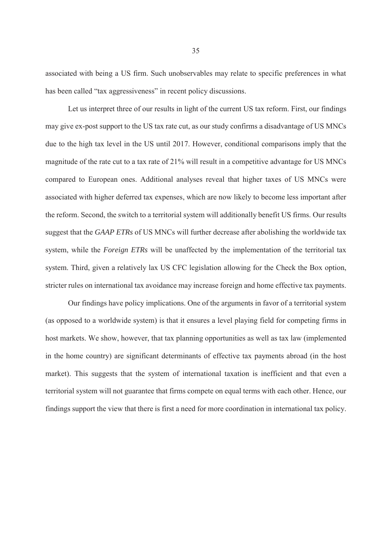associated with being a US firm. Such unobservables may relate to specific preferences in what has been called "tax aggressiveness" in recent policy discussions.

Let us interpret three of our results in light of the current US tax reform. First, our findings may give ex-post support to the US tax rate cut, as our study confirms a disadvantage of US MNCs due to the high tax level in the US until 2017. However, conditional comparisons imply that the magnitude of the rate cut to a tax rate of 21% will result in a competitive advantage for US MNCs compared to European ones. Additional analyses reveal that higher taxes of US MNCs were associated with higher deferred tax expenses, which are now likely to become less important after the reform. Second, the switch to a territorial system will additionally benefit US firms. Our results suggest that the *GAAP ETRs* of US MNCs will further decrease after abolishing the worldwide tax system, while the *Foreign ETRs* will be unaffected by the implementation of the territorial tax system. Third, given a relatively lax US CFC legislation allowing for the Check the Box option, stricter rules on international tax avoidance may increase foreign and home effective tax payments.

Our findings have policy implications. One of the arguments in favor of a territorial system (as opposed to a worldwide system) is that it ensures a level playing field for competing firms in host markets. We show, however, that tax planning opportunities as well as tax law (implemented in the home country) are significant determinants of effective tax payments abroad (in the host market). This suggests that the system of international taxation is inefficient and that even a territorial system will not guarantee that firms compete on equal terms with each other. Hence, our findings support the view that there is first a need for more coordination in international tax policy.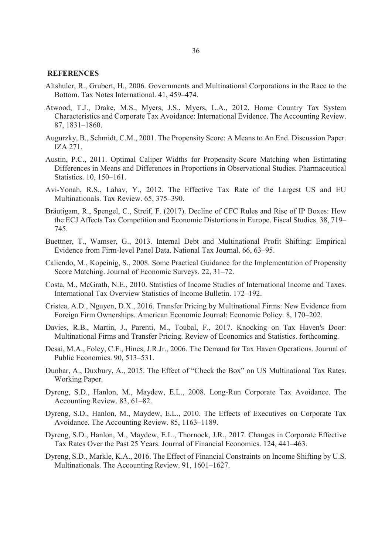#### **REFERENCES**

- Altshuler, R., Grubert, H., 2006. Governments and Multinational Corporations in the Race to the Bottom. Tax Notes International. 41, 459–474.
- Atwood, T.J., Drake, M.S., Myers, J.S., Myers, L.A., 2012. Home Country Tax System Characteristics and Corporate Tax Avoidance: International Evidence. The Accounting Review. 87, 1831–1860.
- Augurzky, B., Schmidt, C.M., 2001. The Propensity Score: A Means to An End. Discussion Paper. IZA 271.
- Austin, P.C., 2011. Optimal Caliper Widths for Propensity-Score Matching when Estimating Differences in Means and Differences in Proportions in Observational Studies. Pharmaceutical Statistics. 10, 150–161.
- Avi-Yonah, R.S., Lahav, Y., 2012. The Effective Tax Rate of the Largest US and EU Multinationals. Tax Review. 65, 375–390.
- Bräutigam, R., Spengel, C., Streif, F. (2017). Decline of CFC Rules and Rise of IP Boxes: How the ECJ Affects Tax Competition and Economic Distortions in Europe. Fiscal Studies. 38, 719– 745.
- Buettner, T., Wamser, G., 2013. Internal Debt and Multinational Profit Shifting: Empirical Evidence from Firm-level Panel Data. National Tax Journal. 66, 63–95.
- Caliendo, M., Kopeinig, S., 2008. Some Practical Guidance for the Implementation of Propensity Score Matching. Journal of Economic Surveys. 22, 31–72.
- Costa, M., McGrath, N.E., 2010. Statistics of Income Studies of International Income and Taxes. International Tax Overview Statistics of Income Bulletin. 172–192.
- Cristea, A.D., Nguyen, D.X., 2016. Transfer Pricing by Multinational Firms: New Evidence from Foreign Firm Ownerships. American Economic Journal: Economic Policy. 8, 170–202.
- Davies, R.B., Martin, J., Parenti, M., Toubal, F., 2017. Knocking on Tax Haven's Door: Multinational Firms and Transfer Pricing. Review of Economics and Statistics. forthcoming.
- Desai, M.A., Foley, C.F., Hines, J.R.Jr., 2006. The Demand for Tax Haven Operations. Journal of Public Economics. 90, 513–531.
- Dunbar, A., Duxbury, A., 2015. The Effect of "Check the Box" on US Multinational Tax Rates. Working Paper.
- Dyreng, S.D., Hanlon, M., Maydew, E.L., 2008. Long-Run Corporate Tax Avoidance. The Accounting Review. 83, 61–82.
- Dyreng, S.D., Hanlon, M., Maydew, E.L., 2010. The Effects of Executives on Corporate Tax Avoidance. The Accounting Review. 85, 1163–1189.
- Dyreng, S.D., Hanlon, M., Maydew, E.L., Thornock, J.R., 2017. Changes in Corporate Effective Tax Rates Over the Past 25 Years. Journal of Financial Economics. 124, 441–463.
- Dyreng, S.D., Markle, K.A., 2016. The Effect of Financial Constraints on Income Shifting by U.S. Multinationals. The Accounting Review. 91, 1601–1627.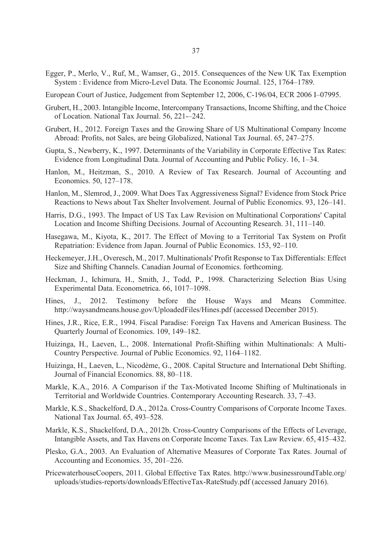- Egger, P., Merlo, V., Ruf, M., Wamser, G., 2015. Consequences of the New UK Tax Exemption System : Evidence from Micro-Level Data. The Economic Journal. 125, 1764–1789.
- European Court of Justice, Judgement from September 12, 2006, C-196/04, ECR 2006 I–07995.
- Grubert, H., 2003. Intangible Income, Intercompany Transactions, Income Shifting, and the Choice of Location. National Tax Journal. 56, 221-–242.
- Grubert, H., 2012. Foreign Taxes and the Growing Share of US Multinational Company Income Abroad: Profits, not Sales, are being Globalized, National Tax Journal. 65, 247–275.
- Gupta, S., Newberry, K., 1997. Determinants of the Variability in Corporate Effective Tax Rates: Evidence from Longitudinal Data. Journal of Accounting and Public Policy. 16, 1–34.
- Hanlon, M., Heitzman, S., 2010. A Review of Tax Research. Journal of Accounting and Economics. 50, 127–178.
- Hanlon, M., Slemrod, J., 2009. What Does Tax Aggressiveness Signal? Evidence from Stock Price Reactions to News about Tax Shelter Involvement. Journal of Public Economics. 93, 126–141.
- Harris, D.G., 1993. The Impact of US Tax Law Revision on Multinational Corporations' Capital Location and Income Shifting Decisions. Journal of Accounting Research. 31, 111–140.
- Hasegawa, M., Kiyota, K., 2017. The Effect of Moving to a Territorial Tax System on Profit Repatriation: Evidence from Japan. Journal of Public Economics. 153, 92–110.
- Heckemeyer, J.H., Overesch, M., 2017. Multinationals' Profit Response to Tax Differentials: Effect Size and Shifting Channels. Canadian Journal of Economics. forthcoming.
- Heckman, J., Ichimura, H., Smith, J., Todd, P., 1998. Characterizing Selection Bias Using Experimental Data. Econometrica. 66, 1017–1098.
- Hines, J., 2012. Testimony before the House Ways and Means Committee. http://waysandmeans.house.gov/UploadedFiles/Hines.pdf (accessed December 2015).
- Hines, J.R., Rice, E.R., 1994. Fiscal Paradise: Foreign Tax Havens and American Business. The Quarterly Journal of Economics. 109, 149–182.
- Huizinga, H., Laeven, L., 2008. International Profit-Shifting within Multinationals: A Multi-Country Perspective. Journal of Public Economics. 92, 1164–1182.
- Huizinga, H., Laeven, L., Nicodème, G., 2008. Capital Structure and International Debt Shifting. Journal of Financial Economics. 88, 80–118.
- Markle, K.A., 2016. A Comparison if the Tax-Motivated Income Shifting of Multinationals in Territorial and Worldwide Countries. Contemporary Accounting Research. 33, 7–43.
- Markle, K.S., Shackelford, D.A., 2012a. Cross-Country Comparisons of Corporate Income Taxes. National Tax Journal. 65, 493–528.
- Markle, K.S., Shackelford, D.A., 2012b. Cross-Country Comparisons of the Effects of Leverage, Intangible Assets, and Tax Havens on Corporate Income Taxes. Tax Law Review. 65, 415–432.
- Plesko, G.A., 2003. An Evaluation of Alternative Measures of Corporate Tax Rates. Journal of Accounting and Economics. 35, 201–226.
- PricewaterhouseCoopers, 2011. Global Effective Tax Rates. http://www.businessroundTable.org/ uploads/studies-reports/downloads/EffectiveTax-RateStudy.pdf (accessed January 2016).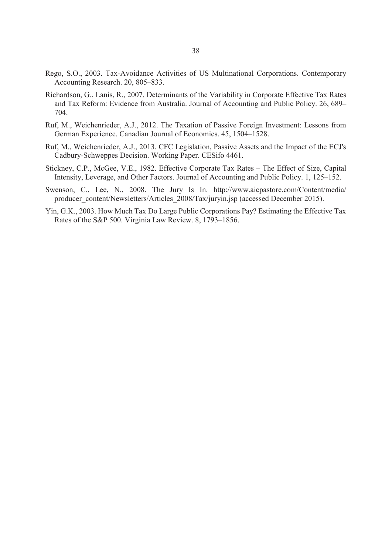- Rego, S.O., 2003. Tax-Avoidance Activities of US Multinational Corporations. Contemporary Accounting Research. 20, 805–833.
- Richardson, G., Lanis, R., 2007. Determinants of the Variability in Corporate Effective Tax Rates and Tax Reform: Evidence from Australia. Journal of Accounting and Public Policy. 26, 689– 704.
- Ruf, M., Weichenrieder, A.J., 2012. The Taxation of Passive Foreign Investment: Lessons from German Experience. Canadian Journal of Economics. 45, 1504–1528.
- Ruf, M., Weichenrieder, A.J., 2013. CFC Legislation, Passive Assets and the Impact of the ECJ's Cadbury-Schweppes Decision. Working Paper. CESifo 4461.
- Stickney, C.P., McGee, V.E., 1982. Effective Corporate Tax Rates The Effect of Size, Capital Intensity, Leverage, and Other Factors. Journal of Accounting and Public Policy. 1, 125–152.
- Swenson, C., Lee, N., 2008. The Jury Is In. http://www.aicpastore.com/Content/media/ producer\_content/Newsletters/Articles\_2008/Tax/juryin.jsp (accessed December 2015).
- Yin, G.K., 2003. How Much Tax Do Large Public Corporations Pay? Estimating the Effective Tax Rates of the S&P 500. Virginia Law Review. 8, 1793–1856.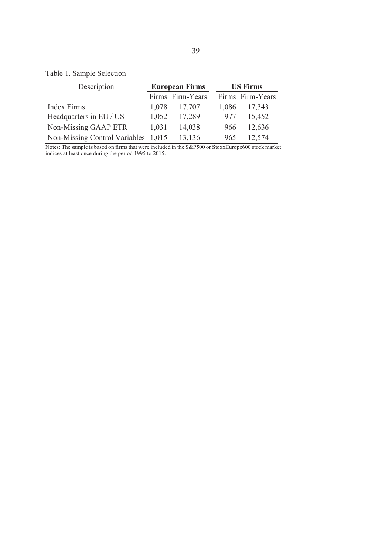## Table 1. Sample Selection

| Description                         |       | <b>European Firms</b> |       | <b>US Firms</b>  |
|-------------------------------------|-------|-----------------------|-------|------------------|
|                                     |       | Firms Firm-Years      |       | Firms Firm-Years |
| Index Firms                         | 1,078 | 17,707                | 1,086 | 17,343           |
| Headquarters in EU / US             | 1,052 | 17,289                | 977   | 15,452           |
| Non-Missing GAAP ETR                | 1,031 | 14,038                | 966   | 12,636           |
| Non-Missing Control Variables 1,015 |       | 13,136                | 965   | 12,574           |

Notes: The sample is based on firms that were included in the S&P500 or StoxxEurope600 stock market indices at least once during the period 1995 to 2015.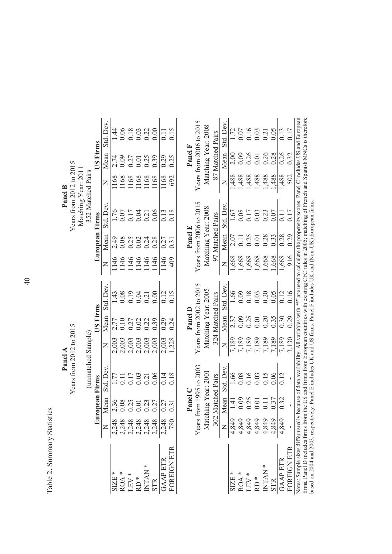Table 2. Summary Statistics Table 2**.** Summary Statistics

|                                                                                                                                                                |                                                  |                                             | Panel A                                             |                                  |                   |                         |                         |                  |                                                             | Panel B                                                     |                            |                                                                     |
|----------------------------------------------------------------------------------------------------------------------------------------------------------------|--------------------------------------------------|---------------------------------------------|-----------------------------------------------------|----------------------------------|-------------------|-------------------------|-------------------------|------------------|-------------------------------------------------------------|-------------------------------------------------------------|----------------------------|---------------------------------------------------------------------|
|                                                                                                                                                                |                                                  |                                             | Years from 2012 to 2015                             |                                  |                   |                         |                         |                  | Years from 2012 to 2015                                     |                                                             |                            |                                                                     |
|                                                                                                                                                                |                                                  |                                             |                                                     |                                  |                   |                         |                         |                  | Matching Year: 201                                          |                                                             |                            |                                                                     |
|                                                                                                                                                                |                                                  |                                             | (unmatched Sample)                                  |                                  |                   |                         |                         |                  | 352 Matched Pairs                                           |                                                             |                            |                                                                     |
|                                                                                                                                                                |                                                  | European Firms                              |                                                     |                                  | <b>JS Firms</b>   |                         |                         | European Firms   |                                                             |                                                             | <b>JS Firms</b>            |                                                                     |
|                                                                                                                                                                |                                                  | <b>Mean</b>                                 | Std. Dev                                            | $\overline{Z}$                   | Mean              | Std. Dev                | $\mathsf{Z}$            | Mean             | Std. Dev                                                    | $\overline{z}$                                              | Mean                       | Std. Dev.                                                           |
| $\begin{array}{l} \text{SIZE} \ast \\ \text{ROA} \ast \\ \text{LBV} \ast \\ \text{LEV} \ast \\ \text{NDAN} \ast \\ \text{NTAN} \ast \\ \text{STR} \end{array}$ |                                                  | 2.36                                        | 1.77                                                | 2,003                            | 2.77              | 1.43                    | 1146                    | 2.49             | 1.76                                                        | 1168                                                        | 2.74                       | $\frac{44}{3}$                                                      |
|                                                                                                                                                                |                                                  | 0.08                                        | 0.11                                                | 2,003                            | 0.10              | 0.08                    | 1146                    | 0.08             |                                                             |                                                             |                            |                                                                     |
|                                                                                                                                                                | 8<br>8 8 8 8 8 8<br>0 8 8 8 8 8<br>0 8 8 8 9 8 9 | 0.25                                        | 0.17                                                | 2,003                            | 0.27              | 0.19                    | 1146                    | $0.25$<br>$0.02$ | 0.07<br>0.17<br>0.04                                        | $\begin{array}{c} 1168 \\ 1168 \\ 1168 \\ 1168 \end{array}$ | $0.27$<br>$0.01$<br>$0.25$ | 0.05<br>0.03<br>0.00<br>0.00                                        |
|                                                                                                                                                                |                                                  |                                             |                                                     | 2,003                            | 0.02              | 0.04                    | 1146                    |                  |                                                             |                                                             |                            |                                                                     |
|                                                                                                                                                                |                                                  | $0.01$<br>$0.27$                            | 0.21                                                | 2,003                            | 0.22              | 0.21                    | 1146                    | 0.24             | $0.21$<br>$0.06$                                            |                                                             |                            |                                                                     |
|                                                                                                                                                                |                                                  |                                             | 0.06                                                | 2,003                            | 0.39              | 0.00                    | 146                     |                  |                                                             | 1168                                                        | 0.39                       |                                                                     |
| <b>GAAP ETR</b>                                                                                                                                                |                                                  | 0.27                                        | 0.14                                                | 2,003                            | 0.29              | 0.12                    | 1146                    | 0.27             | 0.13                                                        | 1168                                                        | 0.29                       |                                                                     |
| OREIGN ETR                                                                                                                                                     | 2,248                                            | 0.31                                        | 0.18                                                | 1,228                            | 0.24              | 0.15                    | 409                     | 0.31             | 0.18                                                        | 692                                                         | 0.25                       | 0.15                                                                |
|                                                                                                                                                                |                                                  |                                             |                                                     |                                  |                   |                         |                         |                  |                                                             |                                                             |                            |                                                                     |
|                                                                                                                                                                |                                                  | Panel C                                     |                                                     |                                  | Panel D           |                         |                         | Panel E          |                                                             |                                                             | Panel F                    |                                                                     |
|                                                                                                                                                                |                                                  |                                             | Years from 1995 to 2003                             |                                  |                   | Years from 2002 to 2015 |                         |                  | Years from 2006 to 2015                                     |                                                             |                            | Years from 2006 to 2015                                             |
|                                                                                                                                                                |                                                  | Matching Year: 2001                         |                                                     |                                  |                   | Matching Year: 2005     |                         |                  | Matching Year: 2008                                         |                                                             | Matching Year: 2008        |                                                                     |
|                                                                                                                                                                |                                                  | 302 Matched Pairs                           |                                                     |                                  | 324 Matched Pairs |                         |                         | 97 Matched Pairs |                                                             |                                                             | 87 Matched Pairs           |                                                                     |
|                                                                                                                                                                |                                                  | Vlean                                       | Std. Dev.                                           | $\mathsf{z}$                     | Mean              | Std. Dev.               | Z                       | Mean             | Std. Dev.                                                   | $\succ$                                                     | Mean                       | Std. Dev.                                                           |
| $\begin{array}{c} \tt{SIZB}\ast \\ \tt{ROA}\ast \\ \tt{LBV}\ast \\ \tt{ND} \ast \\ \tt{ND} \ast \\ \tt{NITAN}\ast \\ \tt{NITA} \end{array}$                    |                                                  | 1.41                                        | 1.66                                                | 7,189                            | 2.37              | 1.66                    | 1,668                   | 2.07             | 1.67                                                        | 1,488                                                       | 2.00                       | 1.72                                                                |
|                                                                                                                                                                |                                                  | 0.09                                        | 0.08                                                |                                  | 0.09              | 0.09                    |                         | $0.11$<br>$0.25$ |                                                             | 1,488                                                       | 0.09                       |                                                                     |
|                                                                                                                                                                |                                                  | 0.25                                        |                                                     |                                  | 0.25              | 0.18                    | 1,668<br>1,668<br>1,668 |                  |                                                             | 1,488                                                       | 0.26                       |                                                                     |
|                                                                                                                                                                |                                                  | $\begin{array}{c} 0.01 \\ 0.11 \end{array}$ | $\begin{array}{c} 0.16 \\ 0.03 \\ 0.15 \end{array}$ | 7,189<br>7,189<br>7,189<br>7,189 | 0.01              | 0.03                    |                         | $\overline{0.0}$ | $\begin{array}{c} 0.08 \\ 0.17 \\ 0.03 \\ 0.23 \end{array}$ | 1,488                                                       | $0.01$<br>$0.26$           | $\begin{array}{c} 0.07 \\ 0.16 \\ 0.03 \\ 0.21 \\ 0.05 \end{array}$ |
|                                                                                                                                                                |                                                  |                                             |                                                     |                                  | 0.20              | 0.20                    | 1,668                   | 0.28             |                                                             | 1,488                                                       |                            |                                                                     |
|                                                                                                                                                                |                                                  | 0.37                                        | 0.06                                                | 7,189                            | 0.35              | 0.05                    | 1,668                   | 0.33             | 0.07                                                        | 1,488                                                       | 0.28                       |                                                                     |
| <b>AAP ETR</b>                                                                                                                                                 | 1,849                                            | 0.32                                        | 0.12                                                | 7,189                            | 0.30              | 0.12                    | 1,668                   | 0.28             | $\Xi$                                                       | 1,488                                                       | 0.26                       | 0.13                                                                |
| FOREIGN ETR                                                                                                                                                    |                                                  |                                             |                                                     | 3,130                            | 0.29              | 0.16                    | 916                     | 0.29             | 0.17                                                        | 502                                                         | 0.32                       | 0.17                                                                |

FOREIGN ETR - - - 3,130 0.29 0.16 916 0.29 0.17 502 0.32 0.17 Notes: Sample sizes differ usually because of data availability. All variables with "\*" are used to calculate the propensity scores. Panel C includes US and European firms. Panel D includes firms from the US and firms from European countries with existing CFC rules in 2005; matching of French and Spanish MNCs is therefore

Notes: Sample sizes differ usually because of data availability. All variables with "\*\*" are used to calculate the propensity scores. Panel C includes US and European firms. Panel D includes firms from the US and firms fro

based on 2004 and 2003, respectively. Panel E includes UK and US firms. Panel F includes UK and (Non-UK) European firms.

Panel B

40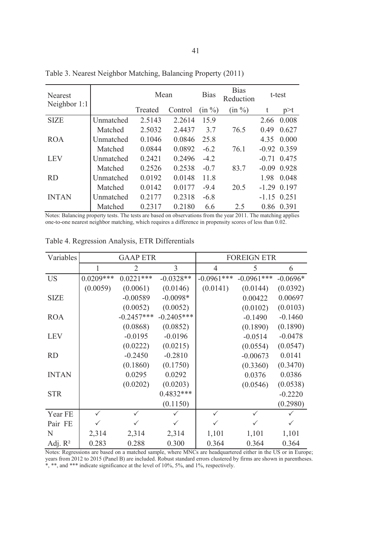| Nearest<br>Neighbor 1:1 |           | Mean    |         | <b>Bias</b> | <b>Bias</b><br>Reduction |         | t-test        |
|-------------------------|-----------|---------|---------|-------------|--------------------------|---------|---------------|
|                         |           | Treated | Control | (in %)      | (in %)                   | t       | p > t         |
| <b>SIZE</b>             | Unmatched | 2.5143  | 2.2614  | 15.9        |                          | 2.66    | 0.008         |
|                         | Matched   | 2.5032  | 2.4437  | 3.7         | 76.5                     | 0.49    | 0.627         |
| <b>ROA</b>              | Unmatched | 0.1046  | 0.0846  | 25.8        |                          | 4.35    | 0.000         |
|                         | Matched   | 0.0844  | 0.0892  | $-6.2$      | 76.1                     |         | $-0.92$ 0.359 |
| <b>LEV</b>              | Unmatched | 0.2421  | 0.2496  | $-4.2$      |                          |         | $-0.71$ 0.475 |
|                         | Matched   | 0.2526  | 0.2538  | $-0.7$      | 83.7                     | $-0.09$ | 0.928         |
| <b>RD</b>               | Unmatched | 0.0192  | 0.0148  | 11.8        |                          | 1.98    | 0.048         |
|                         | Matched   | 0.0142  | 0.0177  | $-9.4$      | 20.5                     | $-1.29$ | 0.197         |
| <b>INTAN</b>            | Unmatched | 0.2177  | 0.2318  | $-6.8$      |                          |         | $-1.15$ 0.251 |
|                         | Matched   | 0.2317  | 0.2180  | 6.6         | 2.5                      | 0.86    | 0.391         |

Table 3. Nearest Neighbor Matching, Balancing Property (2011)

Notes: Balancing property tests. The tests are based on observations from the year 2011. The matching applies one-to-one nearest neighbor matching, which requires a difference in propensity scores of less than 0.02.

| Variables    |              | <b>GAAP ETR</b> |              |              | <b>FOREIGN ETR</b> |            |
|--------------|--------------|-----------------|--------------|--------------|--------------------|------------|
|              | 1            | $\overline{2}$  | 3            | 4            | 5                  | 6          |
| <b>US</b>    | $0.0209***$  | $0.0221***$     | $-0.0328**$  | $-0.0961***$ | $-0.0961***$       | $-0.0696*$ |
|              | (0.0059)     | (0.0061)        | (0.0146)     | (0.0141)     | (0.0144)           | (0.0392)   |
| <b>SIZE</b>  |              | $-0.00589$      | $-0.0098*$   |              | 0.00422            | 0.00697    |
|              |              | (0.0052)        | (0.0052)     |              | (0.0102)           | (0.0103)   |
| <b>ROA</b>   |              | $-0.2457***$    | $-0.2405***$ |              | $-0.1490$          | $-0.1460$  |
|              |              | (0.0868)        | (0.0852)     |              | (0.1890)           | (0.1890)   |
| <b>LEV</b>   |              | $-0.0195$       | $-0.0196$    |              | $-0.0514$          | $-0.0478$  |
|              |              | (0.0222)        | (0.0215)     |              | (0.0554)           | (0.0547)   |
| <b>RD</b>    |              | $-0.2450$       | $-0.2810$    |              | $-0.00673$         | 0.0141     |
|              |              | (0.1860)        | (0.1750)     |              | (0.3360)           | (0.3470)   |
| <b>INTAN</b> |              | 0.0295          | 0.0292       |              | 0.0376             | 0.0386     |
|              |              | (0.0202)        | (0.0203)     |              | (0.0546)           | (0.0538)   |
| <b>STR</b>   |              |                 | $0.4832***$  |              |                    | $-0.2220$  |
|              |              |                 | (0.1150)     |              |                    | (0.2980)   |
| Year FE      | $\checkmark$ | $\checkmark$    |              | $\checkmark$ | $\checkmark$       | ✓          |
| Pair FE      |              |                 |              |              |                    | ✓          |
| N            | 2,314        | 2,314           | 2,314        | 1,101        | 1,101              | 1,101      |
| Adj. $R^2$   | 0.283        | 0.288           | 0.300        | 0.364        | 0.364              | 0.364      |

Table 4. Regression Analysis, ETR Differentials

Notes: Regressions are based on a matched sample, where MNCs are headquartered either in the US or in Europe; years from 2012 to 2015 (Panel B) are included. Robust standard errors clustered by firms are shown in parentheses. \*, \*\*, and \*\*\* indicate significance at the level of 10%, 5%, and 1%, respectively.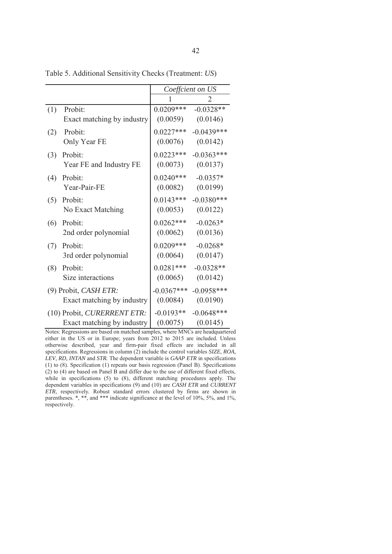|     |                             |              | Coeffcient on US |
|-----|-----------------------------|--------------|------------------|
|     |                             | 1            |                  |
| (1) | Probit:                     | $0.0209***$  | $-0.0328**$      |
|     | Exact matching by industry  | (0.0059)     | (0.0146)         |
| (2) | Probit:                     | $0.0227***$  | $-0.0439***$     |
|     | Only Year FE                | (0.0076)     | (0.0142)         |
| (3) | Probit:                     | $0.0223***$  | $-0.0363***$     |
|     | Year FE and Industry FE     | (0.0073)     | (0.0137)         |
| (4) | Probit:                     | $0.0240***$  | $-0.0357*$       |
|     | Year-Pair-FE                | (0.0082)     | (0.0199)         |
| (5) | Probit:                     | $0.0143***$  | $-0.0380***$     |
|     | No Exact Matching           | (0.0053)     | (0.0122)         |
| (6) | Probit:                     | $0.0262***$  | $-0.0263*$       |
|     | 2nd order polynomial        | (0.0062)     | (0.0136)         |
| (7) | Probit:                     | $0.0209***$  | $-0.0268*$       |
|     | 3rd order polynomial        | (0.0064)     | (0.0147)         |
| (8) | Probit:                     | $0.0281***$  | $-0.0328**$      |
|     | Size interactions           | (0.0065)     | (0.0142)         |
|     | (9) Probit, CASH ETR:       | $-0.0367***$ | $-0.0958***$     |
|     | Exact matching by industry  | (0.0084)     | (0.0190)         |
|     | (10) Probit, CURERRENT ETR: | $-0.0193**$  | $-0.0648***$     |
|     | Exact matching by industry  | (0.0075)     | (0.0145)         |

Table 5. Additional Sensitivity Checks (Treatment: *US*)

Notes: Regressions are based on matched samples, where MNCs are headquartered either in the US or in Europe; years from 2012 to 2015 are included. Unless otherwise described, year and firm-pair fixed effects are included in all specifications. Regressions in column (2) include the control variables *SIZE, ROA, LEV, RD, INTAN* and *STR.* The dependent variable is *GAAP ETR* in specifications (1) to (8). Specification (1) repeats our basis regression (Panel B). Specifications (2) to (4) are based on Panel B and differ due to the use of different fixed effects, while in specifications (5) to (8), different matching procedures apply. The dependent variables in specifications (9) and (10) are *CASH ETR* and *CURRENT ETR,* respectively*.* Robust standard errors clustered by firms are shown in parentheses. \*, \*\*, and \*\*\* indicate significance at the level of 10%, 5%, and 1%, respectively.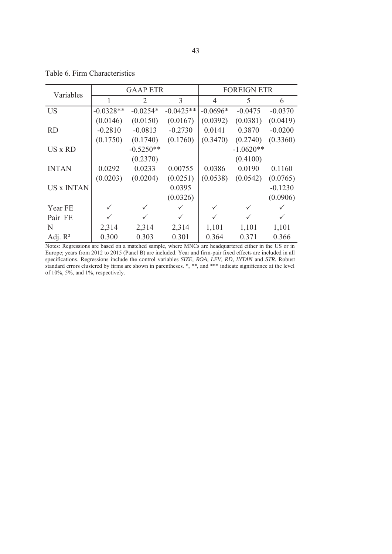| Variables         |             | <b>GAAP ETR</b> |              |              | <b>FOREIGN ETR</b> |              |
|-------------------|-------------|-----------------|--------------|--------------|--------------------|--------------|
|                   |             | 2               | 3            | 4            | 5                  | 6            |
| <b>US</b>         | $-0.0328**$ | $-0.0254*$      | $-0.0425**$  | $-0.0696*$   | $-0.0475$          | $-0.0370$    |
|                   | (0.0146)    | (0.0150)        | (0.0167)     | (0.0392)     | (0.0381)           | (0.0419)     |
| <b>RD</b>         | $-0.2810$   | $-0.0813$       | $-0.2730$    | 0.0141       | 0.3870             | $-0.0200$    |
|                   | (0.1750)    | (0.1740)        | (0.1760)     | (0.3470)     | (0.2740)           | (0.3360)     |
| US x RD           |             | $-0.5250**$     |              |              | $-1.0620**$        |              |
|                   |             | (0.2370)        |              |              | (0.4100)           |              |
| <b>INTAN</b>      | 0.0292      | 0.0233          | 0.00755      | 0.0386       | 0.0190             | 0.1160       |
|                   | (0.0203)    | (0.0204)        | (0.0251)     | (0.0538)     | (0.0542)           | (0.0765)     |
| <b>US x INTAN</b> |             |                 | 0.0395       |              |                    | $-0.1230$    |
|                   |             |                 | (0.0326)     |              |                    | (0.0906)     |
| Year FE           | ✓           | $\checkmark$    | $\checkmark$ | $\checkmark$ | $\checkmark$       |              |
| Pair FE           |             |                 | $\checkmark$ |              |                    | $\checkmark$ |
| N                 | 2,314       | 2,314           | 2,314        | 1,101        | 1,101              | 1,101        |
| Adj. $R^2$        | 0.300       | 0.303           | 0.301        | 0.364        | 0.371              | 0.366        |

Table 6. Firm Characteristics

Notes: Regressions are based on a matched sample, where MNCs are headquartered either in the US or in Europe; years from 2012 to 2015 (Panel B) are included. Year and firm-pair fixed effects are included in all specifications. Regressions include the control variables *SIZE, ROA, LEV, RD, INTAN* and *STR.* Robust standard errors clustered by firms are shown in parentheses. \*, \*\*, and \*\*\* indicate significance at the level of 10%, 5%, and 1%, respectively.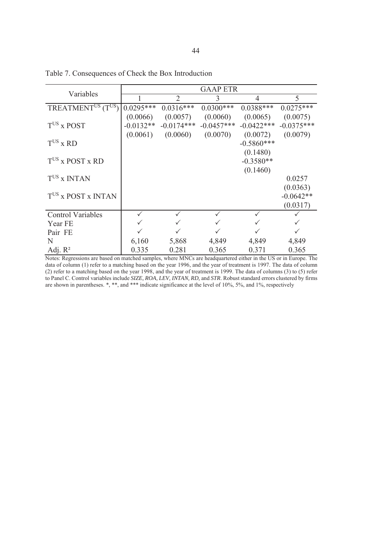| Variables                                  |             |                | <b>GAAP ETR</b> |                          |              |
|--------------------------------------------|-------------|----------------|-----------------|--------------------------|--------------|
|                                            |             | $\overline{2}$ | 3               | 4                        | 5            |
| TREATMENT <sup>US</sup> (T <sup>US</sup> ) | $0.0295***$ | $0.0316***$    | $0.0300***$     | $0.0388***$              | $0.0275***$  |
|                                            | (0.0066)    | (0.0057)       | (0.0060)        | (0.0065)                 | (0.0075)     |
| $T$ <sup>US</sup> x POST                   | $-0.0132**$ | $-0.0174***$   | $-0.0457***$    | $-0.0422***$             | $-0.0375***$ |
| $TUS$ x RD                                 | (0.0061)    | (0.0060)       | (0.0070)        | (0.0072)<br>$-0.5860***$ | (0.0079)     |
|                                            |             |                |                 | (0.1480)                 |              |
| $TUS$ x POST x RD                          |             |                |                 | $-0.3580**$              |              |
|                                            |             |                |                 | (0.1460)                 |              |
| $TUS$ x INTAN                              |             |                |                 |                          | 0.0257       |
|                                            |             |                |                 |                          | (0.0363)     |
| TUS x POST x INTAN                         |             |                |                 |                          | $-0.0642**$  |
|                                            |             |                |                 |                          | (0.0317)     |
| <b>Control Variables</b>                   |             |                |                 |                          |              |
| Year FE                                    |             |                |                 |                          |              |
| Pair FE                                    |             |                |                 |                          |              |
| N                                          | 6,160       | 5,868          | 4,849           | 4,849                    | 4,849        |
| Adj. $R^2$                                 | 0.335       | 0.281          | 0.365           | 0.371                    | 0.365        |

Table 7. Consequences of Check the Box Introduction

Notes: Regressions are based on matched samples, where MNCs are headquartered either in the US or in Europe. The data of column (1) refer to a matching based on the year 1996, and the year of treatment is 1997. The data of column (2) refer to a matching based on the year 1998, and the year of treatment is 1999. The data of columns (3) to (5) refer to Panel C. Control variables include *SIZE, ROA, LEV, INTAN, RD,* and *STR*. Robust standard errors clustered by firms are shown in parentheses. \*, \*\*, and \*\*\* indicate significance at the level of 10%, 5%, and 1%, respectively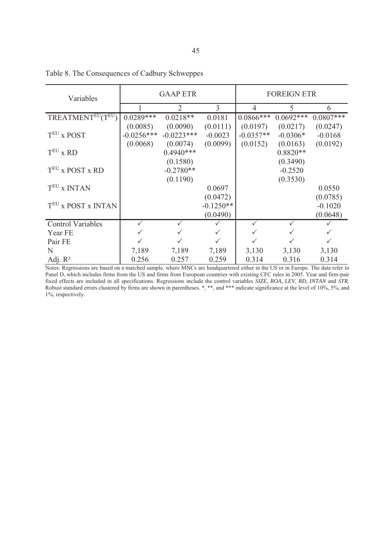| Variables                |              | <b>GAAP ETR</b> |             |              | <b>FOREIGN ETR</b> |             |
|--------------------------|--------------|-----------------|-------------|--------------|--------------------|-------------|
|                          |              | 2               | 3           | 4            | 5                  | 6           |
| TREATMENTEU(TEU)         | $0.0289***$  | $0.0218**$      | 0.0181      | $0.0866$ *** | $0.0692***$        | $0.0807***$ |
|                          | (0.0085)     | (0.0090)        | (0.0111)    | (0.0197)     | (0.0217)           | (0.0247)    |
| $TEU$ x POST             | $-0.0256***$ | $-0.0223***$    | $-0.0023$   | $-0.0357**$  | $-0.0306*$         | $-0.0168$   |
|                          | (0.0068)     | (0.0074)        | (0.0099)    | (0.0152)     | (0.0163)           | (0.0192)    |
| $TEU$ x RD               |              | $0.4940***$     |             |              | $0.8820**$         |             |
|                          |              | (0.1580)        |             |              | (0.3490)           |             |
| $TEU$ x POST x RD        |              | $-0.2780**$     |             |              | $-0.2520$          |             |
|                          |              | (0.1190)        |             |              | (0.3530)           |             |
| T <sup>EU</sup> x INTAN  |              |                 | 0.0697      |              |                    | 0.0550      |
|                          |              |                 | (0.0472)    |              |                    | (0.0785)    |
| TEU X POST X INTAN       |              |                 | $-0.1250**$ |              |                    | $-0.1020$   |
|                          |              |                 | (0.0490)    |              |                    | (0.0648)    |
| <b>Control Variables</b> |              | $\checkmark$    |             | ✓            |                    |             |
| Year FE                  |              |                 |             |              |                    |             |
| Pair FE                  |              |                 |             |              |                    |             |
| N                        | 7,189        | 7,189           | 7,189       | 3,130        | 3,130              | 3,130       |
| Adj. $R^2$               | 0.256        | 0.257           | 0.259       | 0.314        | 0.316              | 0.314       |

Table 8. The Consequences of Cadbury Schweppes

Notes: Regressions are based on a matched sample, where MNCs are headquartered either in the US or in Europe. The data refer to Panel D, which includes firms from the US and firms from European countries with existing CFC rules in 2005. Year and firm-pair fixed effects are included in all specifications. Regressions include the control variables *SIZE, ROA, LEV, RD, INTAN* and *STR.* Robust standard errors clustered by firms are shown in parentheses. \*, \*\*, and \*\*\* indicate significance at the level of 10%, 5%, and 1%, respectively.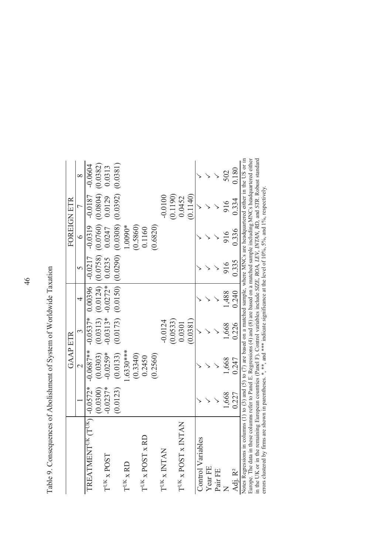| :<br>:<br>:<br>:<br>i<br>ŀ                                                                                   |   |
|--------------------------------------------------------------------------------------------------------------|---|
|                                                                                                              |   |
|                                                                                                              |   |
| i                                                                                                            |   |
|                                                                                                              |   |
| i                                                                                                            |   |
|                                                                                                              |   |
|                                                                                                              |   |
| $\frac{1}{3}$                                                                                                |   |
|                                                                                                              |   |
| את היי ה<br>C<br>Canad                                                                                       |   |
|                                                                                                              |   |
|                                                                                                              |   |
|                                                                                                              |   |
|                                                                                                              |   |
| l                                                                                                            |   |
|                                                                                                              |   |
|                                                                                                              |   |
|                                                                                                              |   |
|                                                                                                              |   |
|                                                                                                              |   |
| しゅうしょう せんしゅう                                                                                                 |   |
| ֧֧֧֧֧֧֧֧֧ׅ֧֧֧֧֧֧֧֧֧֧֧֛֪֧֛֛֛֚֚֚֚֚֚֚֚֚֚֚֚֚֚֚֚֚֚֚֚֚֝֓֝֓֝֓֝֟֓֝֬֝֓֝֬֜֟֬֝֬֜֜֝֬֜<br>֧֧֧֧֧֛֧֧֛֧֛֧֛֧֧֛֚֚֚֚֚֚֚֚֜֜֜֜֜֜֜ |   |
|                                                                                                              |   |
|                                                                                                              |   |
|                                                                                                              |   |
|                                                                                                              |   |
|                                                                                                              |   |
|                                                                                                              |   |
|                                                                                                              |   |
|                                                                                                              |   |
|                                                                                                              |   |
|                                                                                                              |   |
|                                                                                                              |   |
|                                                                                                              |   |
|                                                                                                              | l |
|                                                                                                              |   |
|                                                                                                              |   |
|                                                                                                              |   |
| noncontractional<br>₹                                                                                        |   |
|                                                                                                              |   |
|                                                                                                              |   |
|                                                                                                              |   |
| ֧֦֧֧֧֛֛֧֧֧֧֧֧֧֧֛֛֛֛֚֚֚֚֚֚֚֚֚֚֚֚֚֚֝֝֝֝֬֝֓֕֝֬֝֓֝֬֝֬֝֬֝֬֝֬֝֬֝֬֝֬֝֬֜֝֬֝֬֜֝֬֝֬֜֝֬֝֬֜                              |   |
| ;<br> <br>ł                                                                                                  |   |

|                                                                                                                                           |            | <b>GAAP ETR</b> |             |                                                                   |       | FOREIGN ETR        |           |               |
|-------------------------------------------------------------------------------------------------------------------------------------------|------------|-----------------|-------------|-------------------------------------------------------------------|-------|--------------------|-----------|---------------|
|                                                                                                                                           |            |                 |             |                                                                   |       | $\circ$            |           |               |
| TREATMENT <sup>UK</sup> (T <sup>UK</sup> ) -0.0572* -0.0687** -0.0537* 0.00396   -0.0217                                                  |            |                 |             |                                                                   |       | $-0.0319 - 0.0187$ |           | $-0.0604$     |
|                                                                                                                                           | (0.0300)   | (0.0303)        |             | $(0.0313)$ $(0.0124)$ $(0.0758)$ $(0.0760)$ $(0.0804)$ $(0.0382)$ |       |                    |           |               |
| $\mathbf{T}^{\mathrm{UK}}$ x POST                                                                                                         | $-0.0237*$ | $-0.0259*$      |             | $-0.0313* -0.0272*$ 0.0235 0.0247                                 |       |                    | 0.0129    | 0.0313        |
|                                                                                                                                           | (0.0123)   | (0.0133)        |             | $(0.0173)$ $(0.0150)$ $(0.0290)$ $(0.0308)$ $(0.0392)$ $(0.0381)$ |       |                    |           |               |
| $T^{\mathrm{UK}}$ x RD                                                                                                                    |            | .6330***        |             |                                                                   |       | $-0090*$           |           |               |
|                                                                                                                                           |            | (0.3340)        |             |                                                                   |       | (0.5860)           |           |               |
| $T^{UK}$ x POST x RD                                                                                                                      |            | 0.2450          |             |                                                                   |       | 0.1160             |           |               |
|                                                                                                                                           |            | (0.2560)        |             |                                                                   |       | (0.6820)           |           |               |
| $\mathbf{T}^\text{UK}$ x INTAN                                                                                                            |            |                 | $-0.0124$   |                                                                   |       |                    | $-0.0100$ |               |
|                                                                                                                                           |            |                 | (0.0533)    |                                                                   |       |                    | (0.1190)  |               |
| $T^{UK}$ x POST x INTAN                                                                                                                   |            |                 | 0.0301      |                                                                   |       |                    | 0.0452    |               |
|                                                                                                                                           |            |                 | (0.0381)    |                                                                   |       |                    | (0.1140)  |               |
| Control Variables                                                                                                                         |            |                 |             |                                                                   |       |                    |           |               |
| Year FE                                                                                                                                   |            |                 |             |                                                                   |       |                    |           |               |
| Pair FE                                                                                                                                   |            |                 |             |                                                                   |       |                    |           |               |
|                                                                                                                                           | 1,668      | 1,668           | 1,668       | 1,488                                                             | 916   | 916                | 916       | 502           |
| Adj. R <sup>2</sup>                                                                                                                       | 0.227      | 0.247           | 0.226       | 0.240                                                             | 0.335 | 0.336              | 0.334     | 0.180         |
| Notes Regressions in columns (1) to (3) and (5) to (7) are based on a matched sample, where MNCs are headquartered either in the US or in | $P = 1$    |                 | $1 - 1 - 1$ |                                                                   |       |                    |           | $\frac{1}{2}$ |

Europe. The data in these columns refer to Panel E. Regressions (4) and (8) are based on a matched sample including MNCs headquartered either<br>in the UK or in the remaining European countries (Panel F). Control variables in Notes Regressions in columns (1) to (3) and (5) to (7) are based on a matched sample, where MNCs are headquartered either in the US or in Europe. The data in these columns refer to Panel E. Regressions (4) and (8) are based on a matched sample including MNCs headquartered either in the UK or in the remaining European countries (Panel F). Control variables include *SIZE, ROA, LEV, INTAN, RD,* and *STR*. Robust standard errors clustered by firms are shown in parentheses. \*, \*\*, and \*\*\* indicate significance at the level of 10%, 5%, and 1%, respectively.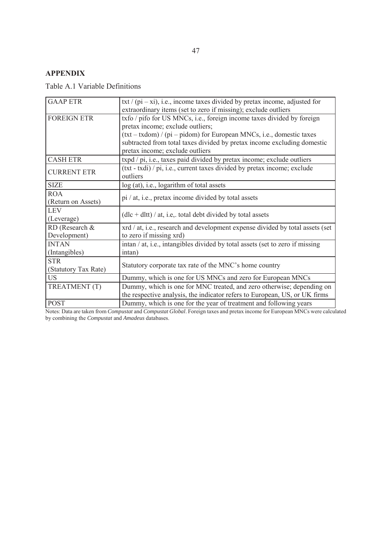## **APPENDIX**

Table A.1 Variable Definitions

| <b>GAAP ETR</b>      | txt / (pi – xi), i.e., income taxes divided by pretax income, adjusted for    |
|----------------------|-------------------------------------------------------------------------------|
|                      | extraordinary items (set to zero if missing); exclude outliers                |
| <b>FOREIGN ETR</b>   | txfo / pifo for US MNCs, i.e., foreign income taxes divided by foreign        |
|                      | pretax income; exclude outliers;                                              |
|                      | $(txt - txdom) / (pi - pidom)$ for European MNCs, i.e., domestic taxes        |
|                      | subtracted from total taxes divided by pretax income excluding domestic       |
|                      | pretax income; exclude outliers                                               |
| <b>CASH ETR</b>      | txpd / pi, i.e., taxes paid divided by pretax income; exclude outliers        |
| <b>CURRENT ETR</b>   | (txt - txdi) / pi, i.e., current taxes divided by pretax income; exclude      |
|                      | outliers                                                                      |
| <b>SIZE</b>          | log (at), i.e., logarithm of total assets                                     |
| <b>ROA</b>           |                                                                               |
| (Return on Assets)   | pi / at, i.e., pretax income divided by total assets                          |
| <b>LEV</b>           | $(dlc + dlt) / at$ , i.e., total debt divided by total assets                 |
| (Leverage)           |                                                                               |
| RD (Research &       | xrd / at, i.e., research and development expense divided by total assets (set |
| Development)         | to zero if missing xrd)                                                       |
| <b>INTAN</b>         | intan / at, i.e., intangibles divided by total assets (set to zero if missing |
| (Intangibles)        | intan)                                                                        |
| <b>STR</b>           |                                                                               |
| (Statutory Tax Rate) | Statutory corporate tax rate of the MNC's home country                        |
| <b>US</b>            | Dummy, which is one for US MNCs and zero for European MNCs                    |
| TREATMENT (T)        | Dummy, which is one for MNC treated, and zero otherwise; depending on         |
|                      | the respective analysis, the indicator refers to European, US, or UK firms    |
| <b>POST</b>          | Dummy, which is one for the year of treatment and following years             |

Notes: Data are taken from *Compustat* and *Compustat Global*. Foreign taxes and pretax income for European MNCs were calculated by combining the *Compustat* and *Amadeus* databases.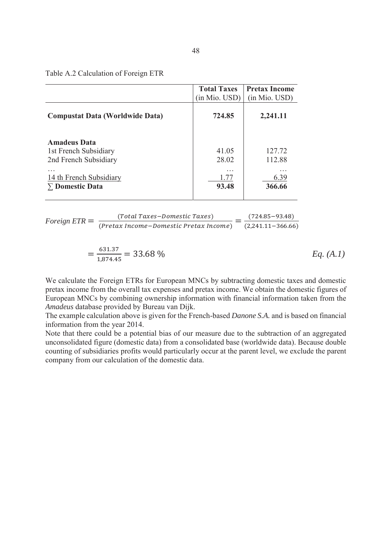|                                                                       | <b>Total Taxes</b><br>(in Mio. USD) | <b>Pretax Income</b><br>(in Mio. USD) |
|-----------------------------------------------------------------------|-------------------------------------|---------------------------------------|
| <b>Compustat Data (Worldwide Data)</b>                                | 724.85                              | 2,241.11                              |
| <b>Amadeus Data</b><br>1st French Subsidiary<br>2nd French Subsidiary | 41.05<br>28.02                      | 127.72<br>112.88                      |
| $\cdots$<br>14 th French Subsidiary<br>$\Sigma$ Domestic Data         | $\cdots$<br>1.77<br>93.48           | .<br>6.39<br>366.66                   |

\n
$$
\text{Foreign} \text{ ETR} = \frac{\text{(Total Taxes-Domestic Taxes)}}{\text{(Pretax Income-Domestic Pretax Income)}} = \frac{(724.85 - 93.48)}{(2,241.11 - 366.66)}
$$
\n

$$
=\frac{631.37}{1,874.45} = 33.68\,\%
$$
  $Eq. (A.1)$ 

We calculate the Foreign ETRs for European MNCs by subtracting domestic taxes and domestic pretax income from the overall tax expenses and pretax income. We obtain the domestic figures of European MNCs by combining ownership information with financial information taken from the *Amadeus* database provided by Bureau van Dijk.

The example calculation above is given for the French-based *Danone S.A.* and is based on financial information from the year 2014.

Note that there could be a potential bias of our measure due to the subtraction of an aggregated unconsolidated figure (domestic data) from a consolidated base (worldwide data). Because double counting of subsidiaries profits would particularly occur at the parent level, we exclude the parent company from our calculation of the domestic data.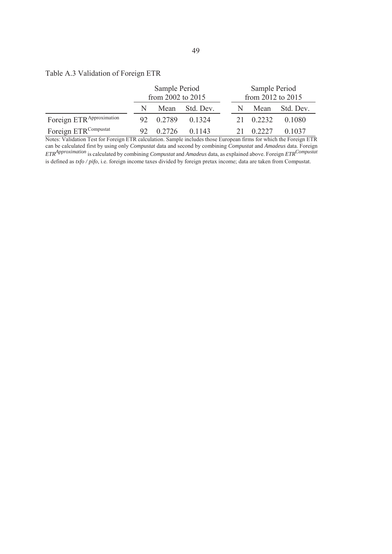## Table A.3 Validation of Foreign ETR

|                                      | Sample Period<br>from 2002 to 2015 |        |           | Sample Period<br>from 2012 to 2015 |           |                |
|--------------------------------------|------------------------------------|--------|-----------|------------------------------------|-----------|----------------|
|                                      | N                                  | Mean   | Std. Dev. | N                                  |           | Mean Std. Dev. |
| Foreign ETR <sup>Approximation</sup> | 92.                                | 0.2789 | 0.1324    |                                    | 21 0.2232 | 0.1080         |
| Foreign ETR <sup>Compustat</sup>     |                                    | 0.2726 | 0.1143    |                                    | 0.2227    | 0.1037         |

Notes: Validation Test for Foreign ETR calculation. Sample includes those European firms for which the Foreign ETR can be calculated first by using only *Compustat* data and second by combining *Compustat* and *Amadeus* data. Foreign *ETRApproximation* is calculated by combining *Compustat* and *Amadeus* data, as explained above. Foreign *ETRCompustat* is defined as *txfo / pifo*, i.e. foreign income taxes divided by foreign pretax income; data are taken from Compustat.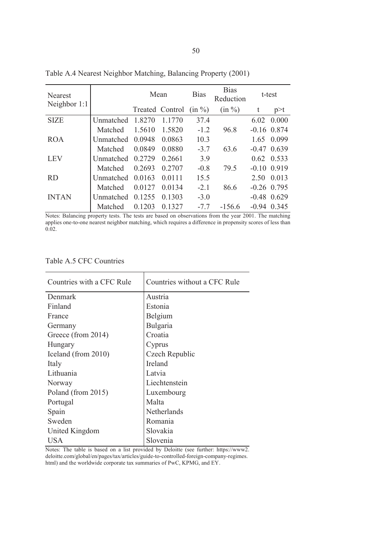| Nearest      |                  | Mean   |                 | <b>Bias</b> | <b>Bias</b><br>Reduction | t-test |               |
|--------------|------------------|--------|-----------------|-------------|--------------------------|--------|---------------|
| Neighbor 1:1 |                  |        | Treated Control | $(in \%)$   | $(in \%)$                | t      | p > t         |
| <b>SIZE</b>  | Unmatched 1.8270 |        | 1.1770          | 37.4        |                          |        | 6.02 0.000    |
|              | Matched          | 1.5610 | 1.5820          | $-1.2$      | 96.8                     |        | $-0.16$ 0.874 |
| <b>ROA</b>   | Unmatched 0.0948 |        | 0.0863          | 10.3        |                          | 1.65   | 0.099         |
|              | Matched          | 0.0849 | 0.0880          | $-3.7$      | 63.6                     |        | $-0.47$ 0.639 |
| <b>LEV</b>   | Unmatched 0.2729 |        | 0.2661          | 3.9         |                          |        | $0.62$ 0.533  |
|              | Matched          | 0.2693 | 0.2707          | $-0.8$      | 79.5                     |        | $-0.10$ 0.919 |
| <b>RD</b>    | Unmatched 0.0163 |        | 0.0111          | 15.5        |                          | 2.50   | 0.013         |
|              | Matched          | 0.0127 | 0.0134          | $-2.1$      | 86.6                     |        | $-0.26$ 0.795 |
| <b>INTAN</b> | Unmatched 0.1255 |        | 0.1303          | $-3.0$      |                          |        | $-0.48$ 0.629 |
|              | Matched          | 0.1203 | 0.1327          | $-7.7$      | $-156.6$                 |        | $-0.94$ 0.345 |

Table A.4 Nearest Neighbor Matching, Balancing Property (2001)

Notes: Balancing property tests. The tests are based on observations from the year 2001. The matching applies one-to-one nearest neighbor matching, which requires a difference in propensity scores of less than 0.02.

Table A.5 CFC Countries

| Countries with a CFC Rule | Countries without a CFC Rule |
|---------------------------|------------------------------|
| Denmark                   | Austria                      |
| Finland                   | Estonia                      |
| France                    | Belgium                      |
| Germany                   | Bulgaria                     |
| Greece (from 2014)        | Croatia                      |
| Hungary                   | Cyprus                       |
| Iceland (from 2010)       | Czech Republic               |
| Italy                     | <b>Ireland</b>               |
| Lithuania                 | Latvia                       |
| Norway                    | Liechtenstein                |
| Poland (from 2015)        | Luxembourg                   |
| Portugal                  | Malta                        |
| Spain                     | Netherlands                  |
| Sweden                    | Romania                      |
| United Kingdom            | Slovakia                     |
| USA                       | Slovenia                     |

Notes: The table is based on a list provided by Deloitte (see further: https://www2. deloitte.com/global/en/pages/tax/articles/guide-to-controlled-foreign-company-regimes. html) and the worldwide corporate tax summaries of PwC, KPMG, and EY.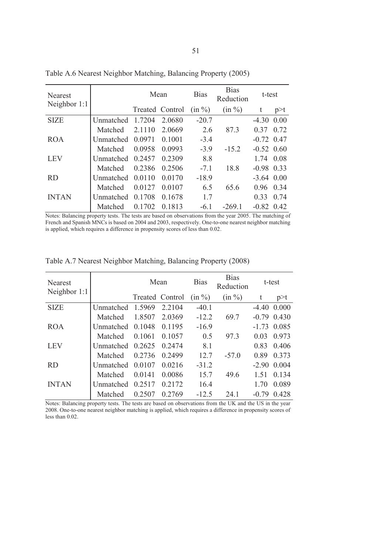| <b>Nearest</b> |                  | Mean   |                 | <b>Bias</b> | <b>Bias</b><br>Reduction | t-test       |       |
|----------------|------------------|--------|-----------------|-------------|--------------------------|--------------|-------|
| Neighbor 1:1   |                  |        | Treated Control | (in %)      | $(in \%)$                | t            | p > t |
| <b>SIZE</b>    | Unmatched 1.7204 |        | 2.0680          | $-20.7$     |                          | $-4.30$ 0.00 |       |
|                | Matched          | 2.1110 | 2.0669          | 2.6         | 87.3                     | 0.37         | 0.72  |
| <b>ROA</b>     | Unmatched 0.0971 |        | 0.1001          | $-3.4$      |                          | $-0.72$ 0.47 |       |
|                | Matched          | 0.0958 | 0.0993          | $-3.9$      | $-15.2$                  | $-0.52$ 0.60 |       |
| <b>LEV</b>     | Unmatched        | 0.2457 | 0.2309          | 8.8         |                          | 1.74 0.08    |       |
|                | Matched          | 0.2386 | 0.2506          | $-7.1$      | 18.8                     | $-0.98$ 0.33 |       |
| <b>RD</b>      | Unmatched        | 0.0110 | 0.0170          | $-18.9$     |                          | $-3.64$ 0.00 |       |
|                | Matched          | 0.0127 | 0.0107          | 6.5         | 65.6                     | 0.96         | 0.34  |
| <b>INTAN</b>   | <b>Unmatched</b> | 0.1708 | 0.1678          | 1.7         |                          | 0.33         | 0.74  |
|                | Matched          | 0.1702 | 0.1813          | $-6.1$      | $-269.1$                 | $-0.82$ 0.42 |       |

Table A.6 Nearest Neighbor Matching, Balancing Property (2005)

Notes: Balancing property tests. The tests are based on observations from the year 2005. The matching of French and Spanish MNCs is based on 2004 and 2003, respectively. One-to-one nearest neighbor matching is applied, which requires a difference in propensity scores of less than 0.02.

| Nearest        |                  | Mean            |        | <b>Bias</b> | <b>Bias</b><br>Reduction |         | t-test        |
|----------------|------------------|-----------------|--------|-------------|--------------------------|---------|---------------|
| Neighbor $1:1$ |                  | Treated Control |        | $(in \%)$   | $(in \%)$                | t       | p > t         |
| <b>SIZE</b>    | Unmatched 1.5969 |                 | 2.2104 | $-40.1$     |                          |         | $-4.40$ 0.000 |
|                | Matched          | 1.8507          | 2.0369 | $-12.2$     | 69.7                     |         | $-0.79$ 0.430 |
| ROA.           | Unmatched 0.1048 |                 | 0.1195 | $-16.9$     |                          |         | $-1.73$ 0.085 |
|                | Matched          | 0.1061          | 0.1057 | 0.5         | 97.3                     | 0.03    | 0.973         |
| <b>LEV</b>     | Unmatched 0.2625 |                 | 0.2474 | 8.1         |                          | 0.83    | 0.406         |
|                | Matched          | 0.2736          | 0.2499 | 12.7        | $-57.0$                  | 0.89    | 0.373         |
| <b>RD</b>      | Unmatched 0.0107 |                 | 0.0216 | $-31.2$     |                          | $-2.90$ | 0.004         |
|                | Matched          | 0.0141          | 0.0086 | 15.7        | 49.6                     | 1.51    | 0.134         |
| <b>INTAN</b>   | Unmatched 0.2517 |                 | 0.2172 | 16.4        |                          | 1.70    | 0.089         |
|                | Matched          | 0.2507          | 0.2769 | $-12.5$     | 24.1                     | $-0.79$ | 0.428         |

Table A.7 Nearest Neighbor Matching, Balancing Property (2008)

Notes: Balancing property tests. The tests are based on observations from the UK and the US in the year 2008. One-to-one nearest neighbor matching is applied, which requires a difference in propensity scores of less than 0.02.